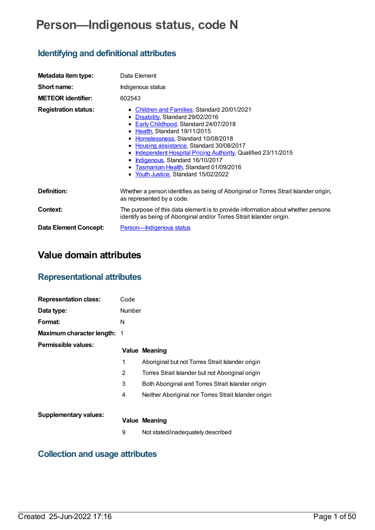# **Person—Indigenous status, code N**

## **Identifying and definitional attributes**

| Metadata item type:          | Data Element                                                                                                                                                                                                                                                                                                                                                                                                                                  |  |  |
|------------------------------|-----------------------------------------------------------------------------------------------------------------------------------------------------------------------------------------------------------------------------------------------------------------------------------------------------------------------------------------------------------------------------------------------------------------------------------------------|--|--|
| Short name:                  | Indigenous status                                                                                                                                                                                                                                                                                                                                                                                                                             |  |  |
| <b>METEOR identifier:</b>    | 602543                                                                                                                                                                                                                                                                                                                                                                                                                                        |  |  |
| <b>Registration status:</b>  | • Children and Families, Standard 20/01/2021<br>• Disability, Standard 29/02/2016<br>• Early Childhood, Standard 24/07/2018<br>• Health, Standard 19/11/2015<br>• Homelessness, Standard 10/08/2018<br>• Housing assistance, Standard 30/08/2017<br>Independent Hospital Pricing Authority, Qualified 23/11/2015<br>٠<br>• Indigenous, Standard 16/10/2017<br>• Tasmanian Health, Standard 01/09/2016<br>• Youth Justice, Standard 15/02/2022 |  |  |
| Definition:                  | Whether a person identifies as being of Aboriginal or Torres Strait Islander origin,<br>as represented by a code.                                                                                                                                                                                                                                                                                                                             |  |  |
| Context:                     | The purpose of this data element is to provide information about whether persons<br>identify as being of Aboriginal and/or Torres Strait Islander origin.                                                                                                                                                                                                                                                                                     |  |  |
| <b>Data Element Concept:</b> | <b>Person-Indigenous status</b>                                                                                                                                                                                                                                                                                                                                                                                                               |  |  |

## **Value domain attributes**

## **Representational attributes**

| <b>Representation class:</b>       | Code   |                                                      |
|------------------------------------|--------|------------------------------------------------------|
| Data type:                         | Number |                                                      |
| Format:                            | N      |                                                      |
| <b>Maximum character length: 1</b> |        |                                                      |
| Permissible values:                |        | <b>Value Meaning</b>                                 |
|                                    | 1      | Aboriginal but not Torres Strait Islander origin     |
|                                    | 2      | Torres Strait Islander but not Aboriginal origin     |
|                                    | 3      | Both Aboriginal and Torres Strait Islander origin    |
|                                    | 4      | Neither Aboriginal nor Torres Strait Islander origin |
|                                    |        |                                                      |
| <b>Supplementary values:</b>       |        | <b>Value Meaning</b>                                 |
|                                    | 9      | Not stated/inadequately described                    |

## **Collection and usage attributes**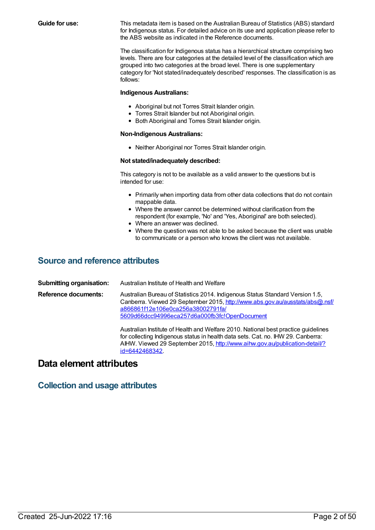**Guide for use:** This metadata item is based on the Australian Bureau of Statistics (ABS) standard for Indigenous status. For detailed advice on its use and application please refer to the ABS website as indicated in the Reference documents.

> The classification for Indigenous status has a hierarchical structure comprising two levels. There are four categories at the detailed level of the classification which are grouped into two categories at the broad level. There is one supplementary category for 'Not stated/inadequately described' responses. The classification is as follows:

#### **Indigenous Australians:**

- Aboriginal but not Torres Strait Islander origin.
- Torres Strait Islander but not Aboriginal origin.
- **Both Aboriginal and Torres Strait Islander origin.**

#### **Non-Indigenous Australians:**

Neither Aboriginal nor Torres Strait Islander origin.

#### **Not stated/inadequately described:**

This category is not to be available as a valid answer to the questions but is intended for use:

- Primarily when importing data from other data collections that do not contain mappable data.
- Where the answer cannot be determined without clarification from the respondent (for example, 'No' and 'Yes, Aboriginal' are both selected).
- Where an answer was declined.
- Where the question was not able to be asked because the client was unable to communicate or a person who knows the client was not available.

### **Source and reference attributes**

**Submitting organisation:** Australian Institute of Health and Welfare **Reference documents:** Australian Bureau of Statistics 2014. Indigenous Status Standard Version 1.5, Canberra. Viewed 29 September 2015, http://www.abs.gov.au/ausstats/abs@.nsf/ a866861f12e106e0ca256a38002791fa/ [5609d66dcc94996eca257d6a000fb3fc!OpenDocument](http://www.abs.gov.au/ausstats/abs@.nsf/a866861f12e106e0ca256a38002791fa/5609d66dcc94996eca257d6a000fb3fc!OpenDocument) Australian Institute of Health and Welfare 2010. National best practice guidelines for collecting Indigenous status in health data sets. Cat. no. IHW 29. Canberra: AIHW. Viewed 29 September 2015, [http://www.aihw.gov.au/publication-detail/?](http://www.aihw.gov.au/publication-detail/?id=6442468342)

### **Data element attributes**

### **Collection and usage attributes**

id=6442468342.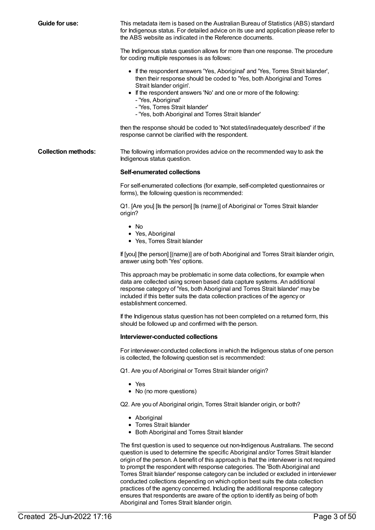**Guide for use:** This metadata item is based on the Australian Bureau of Statistics (ABS) standard for Indigenous status. For detailed advice on its use and application please refer to the ABS website as indicated in the Reference documents. The Indigenous status question allows for more than one response. The procedure for coding multiple responses is as follows: If the respondent answers 'Yes, Aboriginal' and 'Yes, Torres Strait Islander', then their response should be coded to 'Yes, both Aboriginal and Torres Strait Islander origin'. • If the respondent answers 'No' and one or more of the following: - 'Yes, Aboriginal' - 'Yes, Torres Strait Islander' - 'Yes, both Aboriginal and Torres Strait Islander' then the response should be coded to 'Not stated/inadequately described' if the response cannot be clarified with the respondent. **Collection methods:** The following information provides advice on the recommended way to ask the Indigenous status question. **Self-enumerated collections** For self-enumerated collections (for example, self-completed questionnaires or forms), the following question is recommended: Q1. [Are you] [Is the person] [Is (name)] of Aboriginal or Torres Strait Islander origin?  $\bullet$  No Yes, Aboriginal • Yes, Torres Strait Islander

#### **Interviewer-conducted collections**

answer using both 'Yes' options.

establishment concerned.

For interviewer-conducted collections in which the Indigenous status of one person is collected, the following question set is recommended:

If the Indigenous status question has not been completed on a returned form, this

If [you] [the person] [(name)] are of both Aboriginal and Torres Strait Islander origin,

This approach may be problematic in some data collections, for example when data are collected using screen based data capture systems. An additional response category of 'Yes, both Aboriginal and Torres Strait Islander' may be included if this better suits the data collection practices of the agency or

Q1. Are you of Aboriginal or Torres Strait Islander origin?

should be followed up and confirmed with the person.

- Yes
- No (no more questions)

Q2. Are you of Aboriginal origin, Torres Strait Islander origin, or both?

- Aboriginal
- Torres Strait Islander
- Both Aboriginal and Torres Strait Islander

The first question is used to sequence out non-Indigenous Australians. The second question is used to determine the specific Aboriginal and/or Torres Strait Islander origin of the person. A benefit of this approach is that the interviewer is not required to prompt the respondent with response categories. The 'Both Aboriginal and Torres Strait Islander' response category can be included or excluded in interviewer conducted collections depending on which option best suits the data collection practices of the agency concerned. Including the additional response category ensures that respondents are aware of the option to identify as being of both Aboriginal and Torres Strait Islander origin.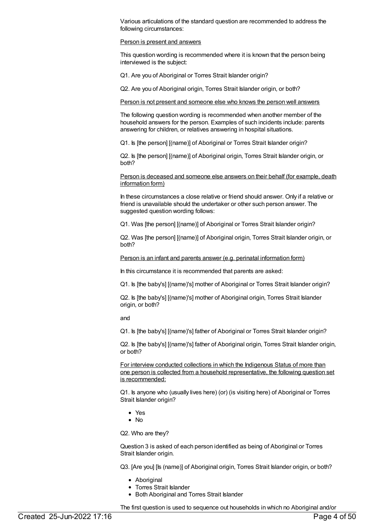Various articulations of the standard question are recommended to address the following circumstances:

#### Person is present and answers

This question wording is recommended where it is known that the person being interviewed is the subject:

Q1. Are you of Aboriginal or Torres Strait Islander origin?

Q2. Are you of Aboriginal origin, Torres Strait Islander origin, or both?

#### Person is not present and someone else who knows the person well answers

The following question wording is recommended when another member of the household answers for the person. Examples of such incidents include: parents answering for children, or relatives answering in hospital situations.

Q1. Is [the person] [(name)] of Aboriginal or Torres Strait Islander origin?

Q2. Is [the person] [(name)] of Aboriginal origin, Torres Strait Islander origin, or both?

Person is deceased and someone else answers on their behalf (for example, death information form)

In these circumstances a close relative or friend should answer. Only if a relative or friend is unavailable should the undertaker or other such person answer. The suggested question wording follows:

Q1. Was [the person] [(name)] of Aboriginal or Torres Strait Islander origin?

Q2. Was [the person] [(name)] of Aboriginal origin, Torres Strait Islander origin, or both?

Person is an infant and parents answer (e.g. perinatal information form)

In this circumstance it is recommended that parents are asked:

Q1. Is [the baby's] [(name)'s] mother of Aboriginal or Torres Strait Islander origin?

Q2. Is [the baby's] [(name)'s] mother of Aboriginal origin, Torres Strait Islander origin, or both?

and

Q1. Is [the baby's] [(name)'s] father of Aboriginal or Torres Strait Islander origin?

Q2. Is [the baby's] [(name)'s] father of Aboriginal origin, Torres Strait Islander origin, or both?

For interview conducted collections in which the Indigenous Status of more than one person is collected from a household representative, the following question set is recommended:

Q1. Is anyone who (usually lives here) (or) (is visiting here) of Aboriginal or Torres Strait Islander origin?

- Yes
- No

Q2. Who are they?

Question 3 is asked of each person identified as being of Aboriginal or Torres Strait Islander origin.

Q3. [Are you] [Is (name)] of Aboriginal origin, Torres Strait Islander origin, or both?

- Aboriginal
- Torres Strait Islander
- Both Aboriginal and Torres Strait Islander

The first question is used to sequence out households in which no Aboriginal and/or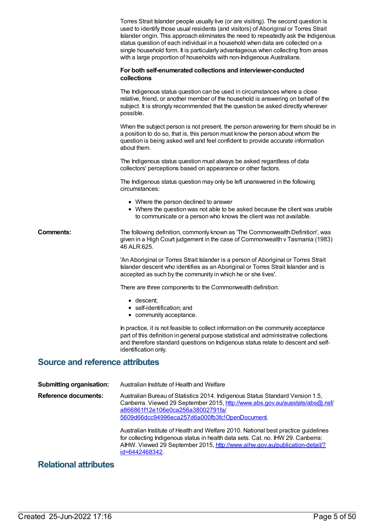|                                        | Torres Strait Islander people usually live (or are visiting). The second question is<br>used to identify those usual residents (and visitors) of Aboriginal or Torres Strait<br>Islander origin. This approach eliminates the need to repeatedly ask the Indigenous<br>status question of each individual in a household when data are collected on a<br>single household form. It is particularly advantageous when collecting from areas<br>with a large proportion of households with non-Indigenous Australians. |
|----------------------------------------|----------------------------------------------------------------------------------------------------------------------------------------------------------------------------------------------------------------------------------------------------------------------------------------------------------------------------------------------------------------------------------------------------------------------------------------------------------------------------------------------------------------------|
|                                        | For both self-enumerated collections and interviewer-conducted<br>collections                                                                                                                                                                                                                                                                                                                                                                                                                                        |
|                                        | The Indigenous status question can be used in circumstances where a close<br>relative, friend, or another member of the household is answering on behalf of the<br>subject. It is strongly recommended that the question be asked directly wherever<br>possible.                                                                                                                                                                                                                                                     |
|                                        | When the subject person is not present, the person answering for them should be in<br>a position to do so, that is, this person must know the person about whom the<br>question is being asked well and feel confident to provide accurate information<br>about them.                                                                                                                                                                                                                                                |
|                                        | The Indigenous status question must always be asked regardless of data<br>collectors' perceptions based on appearance or other factors.                                                                                                                                                                                                                                                                                                                                                                              |
|                                        | The Indigenous status question may only be left unanswered in the following<br>circumstances:                                                                                                                                                                                                                                                                                                                                                                                                                        |
|                                        | • Where the person declined to answer<br>• Where the question was not able to be asked because the client was unable<br>to communicate or a person who knows the client was not available.                                                                                                                                                                                                                                                                                                                           |
| Comments:                              | The following definition, commonly known as 'The Commonwealth Definition', was<br>given in a High Court judgement in the case of Commonwealth v Tasmania (1983)<br>46 ALR 625.                                                                                                                                                                                                                                                                                                                                       |
|                                        | 'An Aboriginal or Torres Strait Islander is a person of Aboriginal or Torres Strait<br>Islander descent who identifies as an Aboriginal or Torres Strait Islander and is<br>accepted as such by the community in which he or she lives'.                                                                                                                                                                                                                                                                             |
|                                        | There are three components to the Commonwealth definition:                                                                                                                                                                                                                                                                                                                                                                                                                                                           |
|                                        | • descent;<br>self-identification; and<br>• community acceptance.                                                                                                                                                                                                                                                                                                                                                                                                                                                    |
|                                        | In practice, it is not feasible to collect information on the community acceptance<br>part of this definition in general purpose statistical and administrative collections<br>and therefore standard questions on Indigenous status relate to descent and self-<br>identification only.                                                                                                                                                                                                                             |
| <b>Source and reference attributes</b> |                                                                                                                                                                                                                                                                                                                                                                                                                                                                                                                      |
| <b>Submitting organisation:</b>        | Australian Institute of Health and Welfare                                                                                                                                                                                                                                                                                                                                                                                                                                                                           |
| <b>Reference documents:</b>            | Australian Bureau of Statistics 2014. Indigenous Status Standard Version 1.5,<br>Canberra. Viewed 29 September 2015, http://www.abs.gov.au/ausstats/abs@.nsf/<br>a866861f12e106e0ca256a38002791fa/<br>5609d66dcc94996eca257d6a000fb3fc!OpenDocument.                                                                                                                                                                                                                                                                 |

Australian Institute of Health and Welfare 2010. National best practice guidelines for collecting Indigenous status in health data sets. Cat. no. IHW 29. Canberra: AIHW. Viewed 29 September 2015, [http://www.aihw.gov.au/publication-detail/?](http://www.aihw.gov.au/publication-detail/?id=6442468342) id=6442468342.

### **Relational attributes**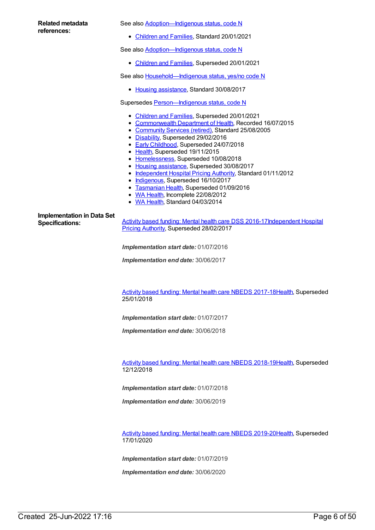| Related metadata<br>references:                             | See also Adoption-Indigenous status, code N                                                                                                                                                                                                                                                                                                                                                                                                                                                                                                                                                                    |  |  |
|-------------------------------------------------------------|----------------------------------------------------------------------------------------------------------------------------------------------------------------------------------------------------------------------------------------------------------------------------------------------------------------------------------------------------------------------------------------------------------------------------------------------------------------------------------------------------------------------------------------------------------------------------------------------------------------|--|--|
|                                                             | • Children and Families, Standard 20/01/2021                                                                                                                                                                                                                                                                                                                                                                                                                                                                                                                                                                   |  |  |
|                                                             | See also Adoption-Indigenous status, code N                                                                                                                                                                                                                                                                                                                                                                                                                                                                                                                                                                    |  |  |
|                                                             | • Children and Families, Superseded 20/01/2021                                                                                                                                                                                                                                                                                                                                                                                                                                                                                                                                                                 |  |  |
|                                                             | See also Household-Indigenous status, yes/no code N                                                                                                                                                                                                                                                                                                                                                                                                                                                                                                                                                            |  |  |
|                                                             | • Housing assistance, Standard 30/08/2017                                                                                                                                                                                                                                                                                                                                                                                                                                                                                                                                                                      |  |  |
|                                                             | Supersedes Person-Indigenous status, code N                                                                                                                                                                                                                                                                                                                                                                                                                                                                                                                                                                    |  |  |
|                                                             | • Children and Families, Superseded 20/01/2021<br>• Commonwealth Department of Health, Recorded 16/07/2015<br>• Community Services (retired), Standard 25/08/2005<br>• Disability, Superseded 29/02/2016<br>• Early Childhood, Superseded 24/07/2018<br>• Health, Superseded 19/11/2015<br>• Homelessness, Superseded 10/08/2018<br>• Housing assistance, Superseded 30/08/2017<br>• Independent Hospital Pricing Authority, Standard 01/11/2012<br>• Indigenous, Superseded 16/10/2017<br>• Tasmanian Health, Superseded 01/09/2016<br>• WA Health, Incomplete 22/08/2012<br>• WA Health, Standard 04/03/2014 |  |  |
| <b>Implementation in Data Set</b><br><b>Specifications:</b> | Activity based funding: Mental health care DSS 2016-17Independent Hospital<br>Pricing Authority, Superseded 28/02/2017                                                                                                                                                                                                                                                                                                                                                                                                                                                                                         |  |  |
|                                                             | Implementation start date: 01/07/2016                                                                                                                                                                                                                                                                                                                                                                                                                                                                                                                                                                          |  |  |
|                                                             | Implementation end date: 30/06/2017                                                                                                                                                                                                                                                                                                                                                                                                                                                                                                                                                                            |  |  |

Activity based funding: Mental health care NBEDS [2017-18](https://meteor.aihw.gov.au/content/639992)[Health](https://meteor.aihw.gov.au/RegistrationAuthority/12), Superseded 25/01/2018

*Implementation start date:* 01/07/2017

*Implementation end date:* 30/06/2018

Activity based funding: Mental health care NBEDS [2018-19](https://meteor.aihw.gov.au/content/676150)[Health](https://meteor.aihw.gov.au/RegistrationAuthority/12), Superseded 12/12/2018

*Implementation start date:* 01/07/2018

*Implementation end date:* 30/06/2019

Activity based funding: Mental health care NBEDS [2019-20](https://meteor.aihw.gov.au/content/699151)[Health](https://meteor.aihw.gov.au/RegistrationAuthority/12), Superseded 17/01/2020

*Implementation start date:* 01/07/2019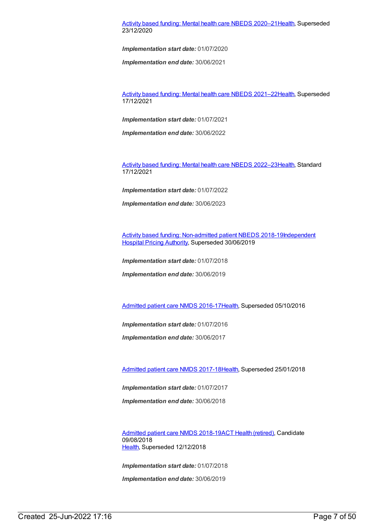#### Activity based funding: Mental health care NBEDS [2020–21](https://meteor.aihw.gov.au/content/715671)[Health](https://meteor.aihw.gov.au/RegistrationAuthority/12), Superseded 23/12/2020

*Implementation start date:* 01/07/2020

*Implementation end date:* 30/06/2021

Activity based funding: Mental health care NBEDS [2021–22](https://meteor.aihw.gov.au/content/735108)[Health](https://meteor.aihw.gov.au/RegistrationAuthority/12), Superseded 17/12/2021

*Implementation start date:* 01/07/2021

*Implementation end date:* 30/06/2022

Activity based funding: Mental health care NBEDS [2022–23](https://meteor.aihw.gov.au/content/742188)[Health](https://meteor.aihw.gov.au/RegistrationAuthority/12), Standard 17/12/2021

*Implementation start date:* 01/07/2022

*Implementation end date:* 30/06/2023

Activity based funding: [Non-admitted](https://meteor.aihw.gov.au/content/687903) patient NBEDS [2018-19Independent](https://meteor.aihw.gov.au/RegistrationAuthority/3) Hospital Pricing Authority, Superseded 30/06/2019

*Implementation start date:* 01/07/2018

*Implementation end date:* 30/06/2019

[Admitted](https://meteor.aihw.gov.au/content/612171) patient care NMDS 2016-17[Health](https://meteor.aihw.gov.au/RegistrationAuthority/12), Superseded 05/10/2016

*Implementation start date:* 01/07/2016

*Implementation end date:* 30/06/2017

[Admitted](https://meteor.aihw.gov.au/content/641349) patient care NMDS 2017-18[Health](https://meteor.aihw.gov.au/RegistrationAuthority/12), Superseded 25/01/2018

*Implementation start date:* 01/07/2017

*Implementation end date:* 30/06/2018

[Admitted](https://meteor.aihw.gov.au/content/676382) patient care NMDS 2018-19ACT Health [\(retired\)](https://meteor.aihw.gov.au/RegistrationAuthority/9), Candidate 09/08/2018 [Health](https://meteor.aihw.gov.au/RegistrationAuthority/12), Superseded 12/12/2018

*Implementation start date:* 01/07/2018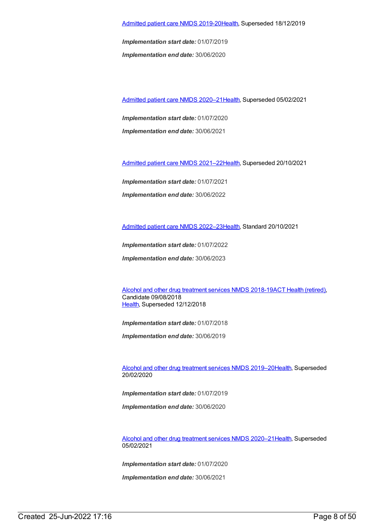*Implementation start date:* 01/07/2019 *Implementation end date:* 30/06/2020

[Admitted](https://meteor.aihw.gov.au/content/713850) patient care NMDS 2020–2[1Health](https://meteor.aihw.gov.au/RegistrationAuthority/12), Superseded 05/02/2021

*Implementation start date:* 01/07/2020 *Implementation end date:* 30/06/2021

[Admitted](https://meteor.aihw.gov.au/content/728439) patient care NMDS 2021–2[2Health](https://meteor.aihw.gov.au/RegistrationAuthority/12), Superseded 20/10/2021

*Implementation start date:* 01/07/2021 *Implementation end date:* 30/06/2022

[Admitted](https://meteor.aihw.gov.au/content/742173) patient care NMDS 2022–2[3Health](https://meteor.aihw.gov.au/RegistrationAuthority/12), Standard 20/10/2021

*Implementation start date:* 01/07/2022

*Implementation end date:* 30/06/2023

Alcohol and other drug [treatment](https://meteor.aihw.gov.au/content/686596) services NMDS 2018-19ACT Health [\(retired\)](https://meteor.aihw.gov.au/RegistrationAuthority/9), Candidate 09/08/2018 [Health](https://meteor.aihw.gov.au/RegistrationAuthority/12), Superseded 12/12/2018

*Implementation start date:* 01/07/2018

*Implementation end date:* 30/06/2019

Alcohol and other drug [treatment](https://meteor.aihw.gov.au/content/700931) services NMDS 2019–2[0Health](https://meteor.aihw.gov.au/RegistrationAuthority/12), Superseded 20/02/2020

*Implementation start date:* 01/07/2019

*Implementation end date:* 30/06/2020

Alcohol and other drug [treatment](https://meteor.aihw.gov.au/content/717078) services NMDS 2020–2[1Health](https://meteor.aihw.gov.au/RegistrationAuthority/12), Superseded 05/02/2021

*Implementation start date:* 01/07/2020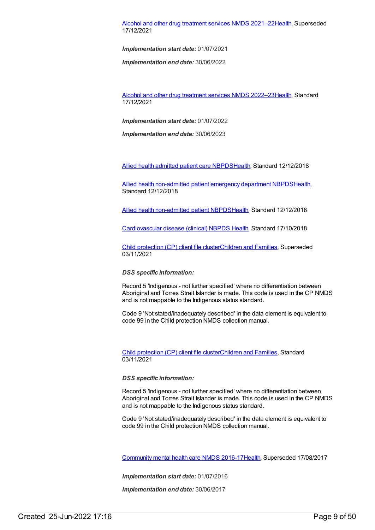#### Alcohol and other drug [treatment](https://meteor.aihw.gov.au/content/733903) services NMDS 2021–2[2Health](https://meteor.aihw.gov.au/RegistrationAuthority/12), Superseded 17/12/2021

*Implementation start date:* 01/07/2021

*Implementation end date:* 30/06/2022

Alcohol and other drug [treatment](https://meteor.aihw.gov.au/content/742035) services NMDS 2022–2[3Health](https://meteor.aihw.gov.au/RegistrationAuthority/12), Standard 17/12/2021

*Implementation start date:* 01/07/2022

*Implementation end date:* 30/06/2023

Allied health [admitted](https://meteor.aihw.gov.au/content/705499) patient care NBPD[SHealth](https://meteor.aihw.gov.au/RegistrationAuthority/12), Standard 12/12/2018

Allied health [non-admitted](https://meteor.aihw.gov.au/content/705494) patient emergency department NBPD[SHealth](https://meteor.aihw.gov.au/RegistrationAuthority/12), Standard 12/12/2018

Allied health [non-admitted](https://meteor.aihw.gov.au/content/705642) patient NBPDS[Health](https://meteor.aihw.gov.au/RegistrationAuthority/12), Standard 12/12/2018

[Cardiovascular](https://meteor.aihw.gov.au/content/697668) disease (clinical) NBPDS [Health](https://meteor.aihw.gov.au/RegistrationAuthority/12), Standard 17/10/2018

Child [protection](https://meteor.aihw.gov.au/content/706958) (CP) client file clusterChildren and [Families](https://meteor.aihw.gov.au/RegistrationAuthority/17), Superseded 03/11/2021

*DSS specific information:*

Record 5 'Indigenous - not further specified' where no differentiation between Aboriginal and Torres Strait Islander is made. This code is used in the CP NMDS and is not mappable to the Indigenous status standard.

Code 9 'Not stated/inadequately described' in the data element is equivalent to code 99 in the Child protection NMDS collection manual.

Child [protection](https://meteor.aihw.gov.au/content/748904) (CP) client file clusterChildren and [Families](https://meteor.aihw.gov.au/RegistrationAuthority/17), Standard 03/11/2021

*DSS specific information:*

Record 5 'Indigenous - not further specified' where no differentiation between Aboriginal and Torres Strait Islander is made. This code is used in the CP NMDS and is not mappable to the Indigenous status standard.

Code 9 'Not stated/inadequately described' in the data element is equivalent to code 99 in the Child protection NMDS collection manual.

[Community](https://meteor.aihw.gov.au/content/608534) mental health care NMDS 2016-1[7Health](https://meteor.aihw.gov.au/RegistrationAuthority/12), Superseded 17/08/2017

*Implementation start date:* 01/07/2016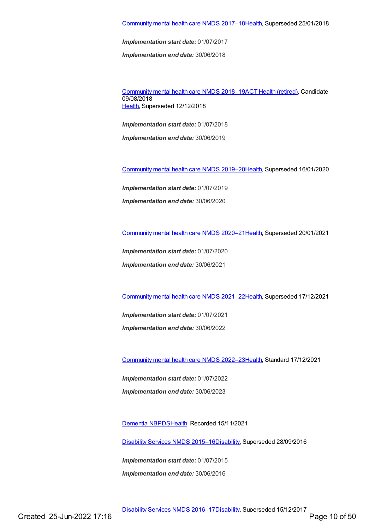*Implementation end date:* 30/06/2018

[Community](https://meteor.aihw.gov.au/content/677802) mental health care NMDS 2018–19ACT Health [\(retired\)](https://meteor.aihw.gov.au/RegistrationAuthority/9), Candidate 09/08/2018 [Health](https://meteor.aihw.gov.au/RegistrationAuthority/12), Superseded 12/12/2018

*Implementation start date:* 01/07/2018

*Implementation end date:* 30/06/2019

[Community](https://meteor.aihw.gov.au/content/699975) mental health care NMDS 2019–2[0Health](https://meteor.aihw.gov.au/RegistrationAuthority/12), Superseded 16/01/2020

*Implementation start date:* 01/07/2019

*Implementation end date:* 30/06/2020

[Community](https://meteor.aihw.gov.au/content/722221) mental health care NMDS 2020–2[1Health](https://meteor.aihw.gov.au/RegistrationAuthority/12), Superseded 20/01/2021

*Implementation start date:* 01/07/2020

*Implementation end date:* 30/06/2021

[Community](https://meteor.aihw.gov.au/content/727348) mental health care NMDS 2021–2[2Health](https://meteor.aihw.gov.au/RegistrationAuthority/12), Superseded 17/12/2021

*Implementation start date:* 01/07/2021 *Implementation end date:* 30/06/2022

[Community](https://meteor.aihw.gov.au/content/742040) mental health care NMDS 2022–2[3Health](https://meteor.aihw.gov.au/RegistrationAuthority/12), Standard 17/12/2021

*Implementation start date:* 01/07/2022 *Implementation end date:* 30/06/2023

[Dementia](https://meteor.aihw.gov.au/content/737872) NBPDS[Health](https://meteor.aihw.gov.au/RegistrationAuthority/12), Recorded 15/11/2021

[Disability](https://meteor.aihw.gov.au/content/617391) Services NMDS 2015–1[6Disability](https://meteor.aihw.gov.au/RegistrationAuthority/16), Superseded 28/09/2016

*Implementation start date:* 01/07/2015 *Implementation end date:* 30/06/2016

[Disability](https://meteor.aihw.gov.au/content/637867) Services NMDS 2016–1[7Disability](https://meteor.aihw.gov.au/RegistrationAuthority/16), Superseded 15/12/2017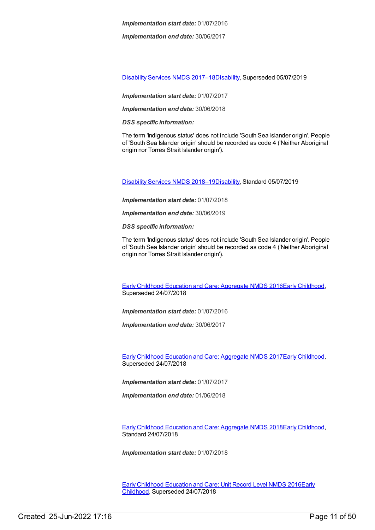*Implementation end date:* 30/06/2017

[Disability](https://meteor.aihw.gov.au/content/664954) Services NMDS 2017–1[8Disability](https://meteor.aihw.gov.au/RegistrationAuthority/16), Superseded 05/07/2019

*Implementation start date:* 01/07/2017

*Implementation end date:* 30/06/2018

*DSS specific information:*

The term 'Indigenous status' does not include 'South Sea Islander origin'. People of 'South Sea Islander origin' should be recorded as code 4 ('Neither Aboriginal origin nor Torres Strait Islander origin').

[Disability](https://meteor.aihw.gov.au/content/698074) Services NMDS 2018–1[9Disability](https://meteor.aihw.gov.au/RegistrationAuthority/16), Standard 05/07/2019

*Implementation start date:* 01/07/2018

*Implementation end date:* 30/06/2019

*DSS specific information:*

The term 'Indigenous status' does not include 'South Sea Islander origin'. People of 'South Sea Islander origin' should be recorded as code 4 ('Neither Aboriginal origin nor Torres Strait Islander origin').

Early Childhood Education and Care: [Aggregate](https://meteor.aihw.gov.au/content/686012) NMDS 2016Early [Childhood](https://meteor.aihw.gov.au/RegistrationAuthority/13), Superseded 24/07/2018

*Implementation start date:* 01/07/2016

*Implementation end date:* 30/06/2017

Early Childhood Education and Care: [Aggregate](https://meteor.aihw.gov.au/content/686049) NMDS 2017Early [Childhood](https://meteor.aihw.gov.au/RegistrationAuthority/13), Superseded 24/07/2018

*Implementation start date:* 01/07/2017

*Implementation end date:* 01/06/2018

Early Childhood Education and Care: [Aggregate](https://meteor.aihw.gov.au/content/686212) NMDS 2018Early [Childhood](https://meteor.aihw.gov.au/RegistrationAuthority/13), Standard 24/07/2018

*Implementation start date:* 01/07/2018

Early Childhood [Education](https://meteor.aihw.gov.au/content/686022) and Care: Unit Record Level NMDS 2016Early Childhood, [Superseded](https://meteor.aihw.gov.au/RegistrationAuthority/13) 24/07/2018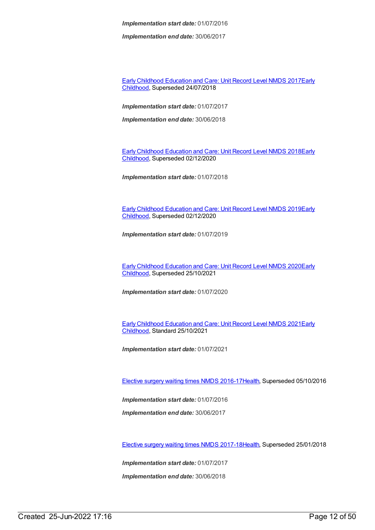*Implementation end date:* 30/06/2017

Early Childhood [Education](https://meteor.aihw.gov.au/content/686135) and Care: Unit Record Level NMDS 2017Early Childhood, [Superseded](https://meteor.aihw.gov.au/RegistrationAuthority/13) 24/07/2018

*Implementation start date:* 01/07/2017

*Implementation end date:* 30/06/2018

Early Childhood [Education](https://meteor.aihw.gov.au/content/686221) and Care: Unit Record Level NMDS 2018Early Childhood, [Superseded](https://meteor.aihw.gov.au/RegistrationAuthority/13) 02/12/2020

*Implementation start date:* 01/07/2018

Early Childhood [Education](https://meteor.aihw.gov.au/RegistrationAuthority/13) and Care: Unit Record Level NMDS 2019Early Childhood, Superseded 02/12/2020

*Implementation start date:* 01/07/2019

Early Childhood [Education](https://meteor.aihw.gov.au/content/731168) and Care: Unit Record Level NMDS 2020Early Childhood, [Superseded](https://meteor.aihw.gov.au/RegistrationAuthority/13) 25/10/2021

*Implementation start date:* 01/07/2020

Early Childhood [Education](https://meteor.aihw.gov.au/RegistrationAuthority/13) and Care: Unit Record Level NMDS 2021Early Childhood, Standard 25/10/2021

*Implementation start date:* 01/07/2021

Elective surgery waiting times NMDS [2016-17](https://meteor.aihw.gov.au/content/623795)[Health](https://meteor.aihw.gov.au/RegistrationAuthority/12), Superseded 05/10/2016

*Implementation start date:* 01/07/2016

*Implementation end date:* 30/06/2017

Elective surgery waiting times NMDS [2017-18](https://meteor.aihw.gov.au/content/651416)[Health](https://meteor.aihw.gov.au/RegistrationAuthority/12), Superseded 25/01/2018

*Implementation start date:* 01/07/2017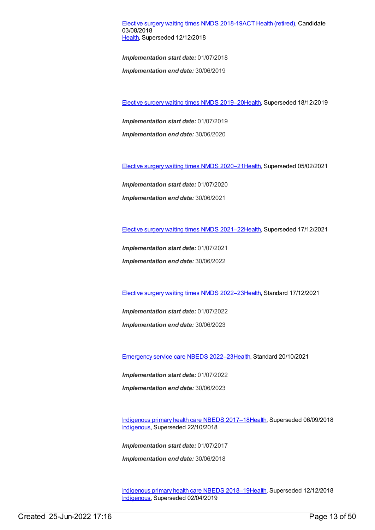Elective surgery waiting times NMDS [2018-19](https://meteor.aihw.gov.au/content/684521)ACT Health [\(retired\)](https://meteor.aihw.gov.au/RegistrationAuthority/9), Candidate 03/08/2018 [Health](https://meteor.aihw.gov.au/RegistrationAuthority/12), Superseded 12/12/2018

*Implementation start date:* 01/07/2018

*Implementation end date:* 30/06/2019

Elective surgery waiting times NMDS [2019–20](https://meteor.aihw.gov.au/content/701975)[Health](https://meteor.aihw.gov.au/RegistrationAuthority/12), Superseded 18/12/2019

*Implementation start date:* 01/07/2019

*Implementation end date:* 30/06/2020

Elective surgery waiting times NMDS [2020–21](https://meteor.aihw.gov.au/content/714037)[Health](https://meteor.aihw.gov.au/RegistrationAuthority/12), Superseded 05/02/2021

*Implementation start date:* 01/07/2020 *Implementation end date:* 30/06/2021

Elective surgery waiting times NMDS [2021–22](https://meteor.aihw.gov.au/content/727350)[Health](https://meteor.aihw.gov.au/RegistrationAuthority/12), Superseded 17/12/2021

*Implementation start date:* 01/07/2021 *Implementation end date:* 30/06/2022

Elective surgery waiting times NMDS [2022–23](https://meteor.aihw.gov.au/content/742042)[Health](https://meteor.aihw.gov.au/RegistrationAuthority/12), Standard 17/12/2021

*Implementation start date:* 01/07/2022 *Implementation end date:* 30/06/2023

[Emergency](https://meteor.aihw.gov.au/content/742180) service care NBEDS 2022–2[3Health](https://meteor.aihw.gov.au/RegistrationAuthority/12), Standard 20/10/2021

*Implementation start date:* 01/07/2022

*Implementation end date:* 30/06/2023

[Indigenous](https://meteor.aihw.gov.au/content/686603) primary health care NBEDS 2017–18[Health](https://meteor.aihw.gov.au/RegistrationAuthority/12), Superseded 06/09/2018 [Indigenous](https://meteor.aihw.gov.au/RegistrationAuthority/6), Superseded 22/10/2018

*Implementation start date:* 01/07/2017

*Implementation end date:* 30/06/2018

[Indigenous](https://meteor.aihw.gov.au/content/694101) primary health care NBEDS 2018–19[Health](https://meteor.aihw.gov.au/RegistrationAuthority/12), Superseded 12/12/2018 [Indigenous](https://meteor.aihw.gov.au/RegistrationAuthority/6), Superseded 02/04/2019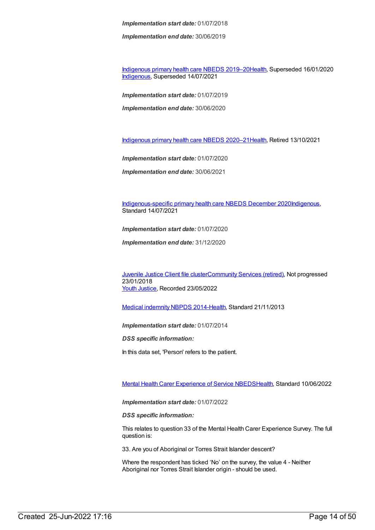*Implementation end date:* 30/06/2019

[Indigenous](https://meteor.aihw.gov.au/content/707502) primary health care NBEDS 2019–20[Health](https://meteor.aihw.gov.au/RegistrationAuthority/12), Superseded 16/01/2020 [Indigenous](https://meteor.aihw.gov.au/RegistrationAuthority/6), Superseded 14/07/2021

*Implementation start date:* 01/07/2019 *Implementation end date:* 30/06/2020

[Indigenous](https://meteor.aihw.gov.au/content/715320) primary health care NBEDS 2020–21[Health](https://meteor.aihw.gov.au/RegistrationAuthority/12), Retired 13/10/2021

*Implementation start date:* 01/07/2020

*Implementation end date:* 30/06/2021

[Indigenous-specific](https://meteor.aihw.gov.au/content/738532) primary health care NBEDS December 2020[Indigenous](https://meteor.aihw.gov.au/RegistrationAuthority/6), Standard 14/07/2021

*Implementation start date:* 01/07/2020

*Implementation end date:* 31/12/2020

[Juvenile](https://meteor.aihw.gov.au/content/513199) Justice Client file cluste[rCommunity](https://meteor.aihw.gov.au/RegistrationAuthority/1) Services (retired), Not progressed 23/01/2018 Youth [Justice](https://meteor.aihw.gov.au/RegistrationAuthority/4), Recorded 23/05/2022

Medical [indemnity](https://meteor.aihw.gov.au/content/531844) NBPDS 2014[-Health](https://meteor.aihw.gov.au/RegistrationAuthority/12), Standard 21/11/2013

*Implementation start date:* 01/07/2014

*DSS specific information:*

In this data set, 'Person' refers to the patient.

Mental Health Carer [Experience](https://meteor.aihw.gov.au/content/745391) of Service NBED[SHealth](https://meteor.aihw.gov.au/RegistrationAuthority/12), Standard 10/06/2022

*Implementation start date:* 01/07/2022

*DSS specific information:*

This relates to question 33 of the Mental Health Carer Experience Survey. The full question is:

33. Are you of Aboriginal or Torres Strait Islander descent?

Where the respondent has ticked 'No' on the survey, the value 4 - Neither Aboriginal nor Torres Strait Islander origin - should be used.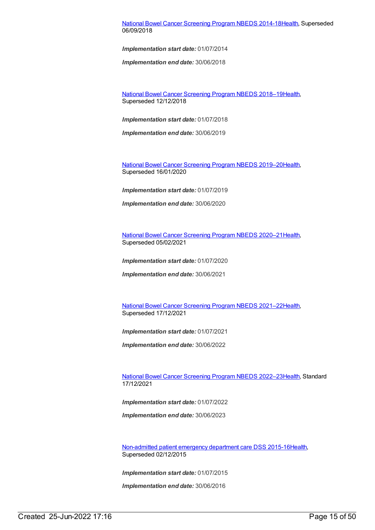#### National Bowel Cancer [Screening](https://meteor.aihw.gov.au/content/529201) Program NBEDS 2014-1[8Health](https://meteor.aihw.gov.au/RegistrationAuthority/12), Superseded 06/09/2018

*Implementation start date:* 01/07/2014

*Implementation end date:* 30/06/2018

National Bowel Cancer [Screening](https://meteor.aihw.gov.au/content/694107) Program NBEDS 2018–1[9Health](https://meteor.aihw.gov.au/RegistrationAuthority/12), Superseded 12/12/2018

*Implementation start date:* 01/07/2018

*Implementation end date:* 30/06/2019

National Bowel Cancer [Screening](https://meteor.aihw.gov.au/content/707481) Program NBEDS 2019–2[0Health](https://meteor.aihw.gov.au/RegistrationAuthority/12), Superseded 16/01/2020

*Implementation start date:* 01/07/2019

*Implementation end date:* 30/06/2020

National Bowel Cancer [Screening](https://meteor.aihw.gov.au/content/715323) Program NBEDS 2020–2[1Health](https://meteor.aihw.gov.au/RegistrationAuthority/12), Superseded 05/02/2021

*Implementation start date:* 01/07/2020

*Implementation end date:* 30/06/2021

National Bowel Cancer [Screening](https://meteor.aihw.gov.au/content/727407) Program NBEDS 2021–2[2Health](https://meteor.aihw.gov.au/RegistrationAuthority/12), Superseded 17/12/2021

*Implementation start date:* 01/07/2021

*Implementation end date:* 30/06/2022

National Bowel Cancer [Screening](https://meteor.aihw.gov.au/content/742048) Program NBEDS 2022–2[3Health](https://meteor.aihw.gov.au/RegistrationAuthority/12), Standard 17/12/2021

*Implementation start date:* 01/07/2022

*Implementation end date:* 30/06/2023

[Non-admitted](https://meteor.aihw.gov.au/content/590675) patient emergency department care DSS 2015-1[6Health](https://meteor.aihw.gov.au/RegistrationAuthority/12), Superseded 02/12/2015

*Implementation start date:* 01/07/2015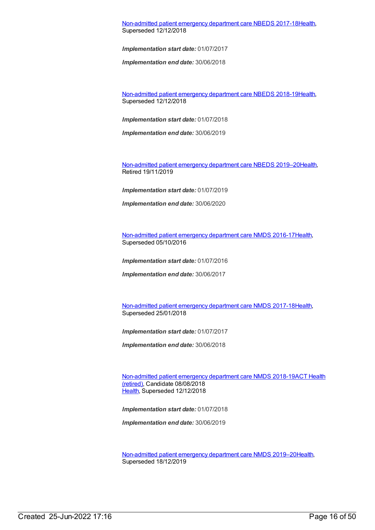[Non-admitted](https://meteor.aihw.gov.au/content/655704) patient emergency department care NBEDS 2017-1[8Health](https://meteor.aihw.gov.au/RegistrationAuthority/12), Superseded 12/12/2018

*Implementation start date:* 01/07/2017

*Implementation end date:* 30/06/2018

[Non-admitted](https://meteor.aihw.gov.au/content/676384) patient emergency department care NBEDS 2018-1[9Health](https://meteor.aihw.gov.au/RegistrationAuthority/12), Superseded 12/12/2018

*Implementation start date:* 01/07/2018

*Implementation end date:* 30/06/2019

[Non-admitted](https://meteor.aihw.gov.au/content/708556) patient emergency department care NBEDS 2019–2[0Health](https://meteor.aihw.gov.au/RegistrationAuthority/12), Retired 19/11/2019

*Implementation start date:* 01/07/2019

*Implementation end date:* 30/06/2020

[Non-admitted](https://meteor.aihw.gov.au/content/612346) patient emergency department care NMDS 2016-17[Health](https://meteor.aihw.gov.au/RegistrationAuthority/12), Superseded 05/10/2016

*Implementation start date:* 01/07/2016

*Implementation end date:* 30/06/2017

[Non-admitted](https://meteor.aihw.gov.au/content/651856) patient emergency department care NMDS 2017-18[Health](https://meteor.aihw.gov.au/RegistrationAuthority/12), Superseded 25/01/2018

*Implementation start date:* 01/07/2017

*Implementation end date:* 30/06/2018

[Non-admitted](https://meteor.aihw.gov.au/RegistrationAuthority/9) patient emergency department care NMDS 2018-19ACT Health (retired), Candidate 08/08/2018 [Health](https://meteor.aihw.gov.au/RegistrationAuthority/12), Superseded 12/12/2018

*Implementation start date:* 01/07/2018

*Implementation end date:* 30/06/2019

[Non-admitted](https://meteor.aihw.gov.au/content/699738) patient emergency department care NMDS 2019–2[0Health](https://meteor.aihw.gov.au/RegistrationAuthority/12), Superseded 18/12/2019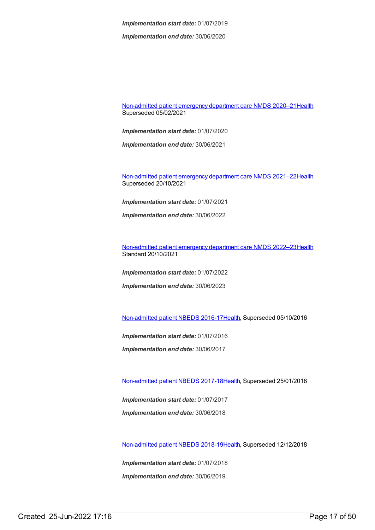*Implementation end date:* 30/06/2020

[Non-admitted](https://meteor.aihw.gov.au/content/713860) patient emergency department care NMDS 2020–2[1Health](https://meteor.aihw.gov.au/RegistrationAuthority/12), Superseded 05/02/2021

*Implementation start date:* 01/07/2020

*Implementation end date:* 30/06/2021

[Non-admitted](https://meteor.aihw.gov.au/content/727360) patient emergency department care NMDS 2021–2[2Health](https://meteor.aihw.gov.au/RegistrationAuthority/12), Superseded 20/10/2021

*Implementation start date:* 01/07/2021

*Implementation end date:* 30/06/2022

[Non-admitted](https://meteor.aihw.gov.au/content/742184) patient emergency department care NMDS 2022–2[3Health](https://meteor.aihw.gov.au/RegistrationAuthority/12), Standard 20/10/2021

*Implementation start date:* 01/07/2022 *Implementation end date:* 30/06/2023

[Non-admitted](https://meteor.aihw.gov.au/content/612297) patient NBEDS 2016-17[Health](https://meteor.aihw.gov.au/RegistrationAuthority/12), Superseded 05/10/2016

*Implementation start date:* 01/07/2016

*Implementation end date:* 30/06/2017

[Non-admitted](https://meteor.aihw.gov.au/content/650086) patient NBEDS 2017-18[Health](https://meteor.aihw.gov.au/RegistrationAuthority/12), Superseded 25/01/2018

*Implementation start date:* 01/07/2017 *Implementation end date:* 30/06/2018

[Non-admitted](https://meteor.aihw.gov.au/content/672552) patient NBEDS 2018-19[Health](https://meteor.aihw.gov.au/RegistrationAuthority/12), Superseded 12/12/2018

*Implementation start date:* 01/07/2018 *Implementation end date:* 30/06/2019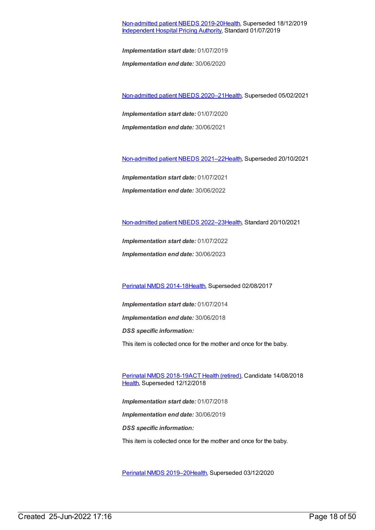#### [Non-admitted](https://meteor.aihw.gov.au/content/699590) patient NBEDS 2019-20[Health](https://meteor.aihw.gov.au/RegistrationAuthority/12), Superseded 18/12/2019 [Independent](https://meteor.aihw.gov.au/RegistrationAuthority/3) Hospital Pricing Authority, Standard 01/07/2019

*Implementation start date:* 01/07/2019

*Implementation end date:* 30/06/2020

[Non-admitted](https://meteor.aihw.gov.au/content/713856) patient NBEDS 2020–2[1Health](https://meteor.aihw.gov.au/RegistrationAuthority/12), Superseded 05/02/2021

*Implementation start date:* 01/07/2020 *Implementation end date:* 30/06/2021

[Non-admitted](https://meteor.aihw.gov.au/content/727331) patient NBEDS 2021–2[2Health](https://meteor.aihw.gov.au/RegistrationAuthority/12), Superseded 20/10/2021

*Implementation start date:* 01/07/2021 *Implementation end date:* 30/06/2022

[Non-admitted](https://meteor.aihw.gov.au/content/742186) patient NBEDS 2022–2[3Health](https://meteor.aihw.gov.au/RegistrationAuthority/12), Standard 20/10/2021

*Implementation start date:* 01/07/2022 *Implementation end date:* 30/06/2023

[Perinatal](https://meteor.aihw.gov.au/content/517456) NMDS 2014-1[8Health](https://meteor.aihw.gov.au/RegistrationAuthority/12), Superseded 02/08/2017

*Implementation start date:* 01/07/2014 *Implementation end date:* 30/06/2018 *DSS specific information:* This item is collected once for the mother and once for the baby.

[Perinatal](https://meteor.aihw.gov.au/content/668811) NMDS 2018-19ACT Health [\(retired\)](https://meteor.aihw.gov.au/RegistrationAuthority/9), Candidate 14/08/2018 [Health](https://meteor.aihw.gov.au/RegistrationAuthority/12), Superseded 12/12/2018

*Implementation start date:* 01/07/2018 *Implementation end date:* 30/06/2019 *DSS specific information:* This item is collected once for the mother and once for the baby.

Perinatal NMDS [2019–20](https://meteor.aihw.gov.au/content/694988)[Health](https://meteor.aihw.gov.au/RegistrationAuthority/12), Superseded 03/12/2020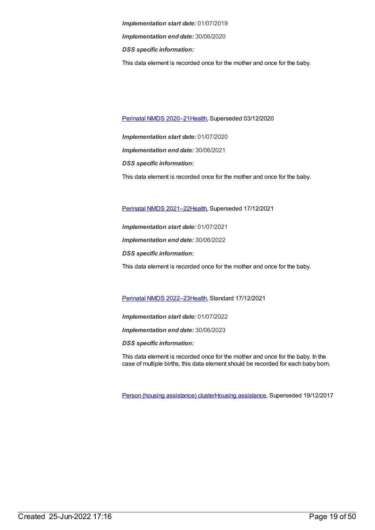*Implementation start date:* 01/07/2019 *Implementation end date:* 30/06/2020 *DSS specific information:* This data element is recorded once for the mother and once for the baby.

Perinatal NMDS [2020–21](https://meteor.aihw.gov.au/content/716081)[Health](https://meteor.aihw.gov.au/RegistrationAuthority/12), Superseded 03/12/2020

*Implementation start date:* 01/07/2020 *Implementation end date:* 30/06/2021 *DSS specific information:* This data element is recorded once for the mother and once for the baby.

Perinatal NMDS [2021–22](https://meteor.aihw.gov.au/content/727291)[Health](https://meteor.aihw.gov.au/RegistrationAuthority/12), Superseded 17/12/2021

*Implementation start date:* 01/07/2021 *Implementation end date:* 30/06/2022 *DSS specific information:* This data element is recorded once for the mother and once for the baby.

Perinatal NMDS [2022–23](https://meteor.aihw.gov.au/content/742052)[Health](https://meteor.aihw.gov.au/RegistrationAuthority/12), Standard 17/12/2021

*Implementation start date:* 01/07/2022

*Implementation end date:* 30/06/2023

*DSS specific information:*

This data element is recorded once for the mother and once for the baby. In the case of multiple births, this data element should be recorded for each baby born.

Person (housing [assistance\)](https://meteor.aihw.gov.au/content/635954) clusterHousing [assistance](https://meteor.aihw.gov.au/RegistrationAuthority/11), Superseded 19/12/2017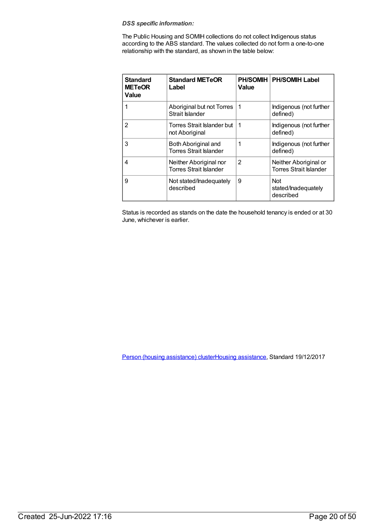#### *DSS specific information:*

The Public Housing and SOMIH collections do not collect Indigenous status according to the ABS standard. The values collected do not form a one-to-one relationship with the standard, as shown in the table below:

| <b>Standard</b><br><b>METeOR</b><br>Value | <b>Standard METeOR</b><br>Label                         | <b>PH/SOMIH</b><br>Value | <b>PH/SOMIH Label</b>                                  |
|-------------------------------------------|---------------------------------------------------------|--------------------------|--------------------------------------------------------|
|                                           | Aboriginal but not Torres<br>Strait Islander            | 1                        | Indigenous (not further<br>defined)                    |
| $\overline{2}$                            | Torres Strait Islander but<br>not Aboriginal            | -1                       | Indigenous (not further<br>defined)                    |
| 3                                         | Both Aboriginal and<br><b>Torres Strait Islander</b>    | 1                        | Indigenous (not further<br>defined)                    |
| 4                                         | Neither Aboriginal nor<br><b>Torres Strait Islander</b> | $\overline{2}$           | Neither Aboriginal or<br><b>Torres Strait Islander</b> |
| 9                                         | Not stated/Inadequately<br>described                    | 9                        | <b>Not</b><br>stated/Inadequately<br>described         |

Status is recorded as stands on the date the household tenancy is ended or at 30 June, whichever is earlier.

Person (housing [assistance\)](https://meteor.aihw.gov.au/content/687113) clusterHousing [assistance](https://meteor.aihw.gov.au/RegistrationAuthority/11), Standard 19/12/2017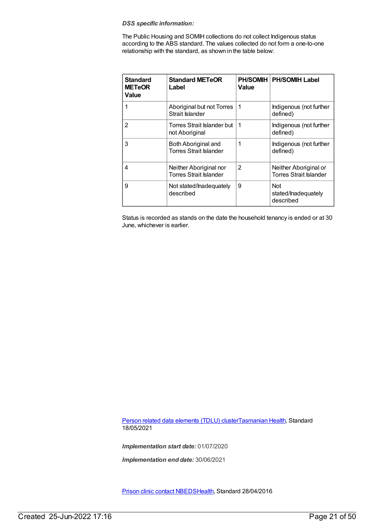#### *DSS specific information:*

The Public Housing and SOMIH collections do not collect Indigenous status according to the ABS standard. The values collected do not form a one-to-one relationship with the standard, as shown in the table below:

| <b>Standard</b><br><b>METeOR</b><br>Value | <b>Standard METeOR</b><br>Label                         | Value | <b>PH/SOMIH   PH/SOMIH Label</b>                       |
|-------------------------------------------|---------------------------------------------------------|-------|--------------------------------------------------------|
| 1                                         | Aboriginal but not Torres<br>Strait Islander            | 1     | Indigenous (not further<br>defined)                    |
| $\overline{2}$                            | Torres Strait Islander but<br>not Aboriginal            | 1     | Indigenous (not further<br>defined)                    |
| 3                                         | Both Aboriginal and<br><b>Torres Strait Islander</b>    | 1     | Indigenous (not further<br>defined)                    |
| 4                                         | Neither Aboriginal nor<br><b>Torres Strait Islander</b> | 2     | Neither Aboriginal or<br><b>Torres Strait Islander</b> |
| 9                                         | Not stated/Inadequately<br>described                    | 9     | <b>Not</b><br>stated/lnadequately<br>described         |

Status is recorded as stands on the date the household tenancy is ended or at 30 June, whichever is earlier.

Person related data [elements](https://meteor.aihw.gov.au/content/743771) (TDLU) cluste[rTasmanian](https://meteor.aihw.gov.au/RegistrationAuthority/15) Health, Standard 18/05/2021

*Implementation start date:* 01/07/2020

*Implementation end date:* 30/06/2021

Prison clinic contact [NBEDS](https://meteor.aihw.gov.au/content/482314)[Health](https://meteor.aihw.gov.au/RegistrationAuthority/12), Standard 28/04/2016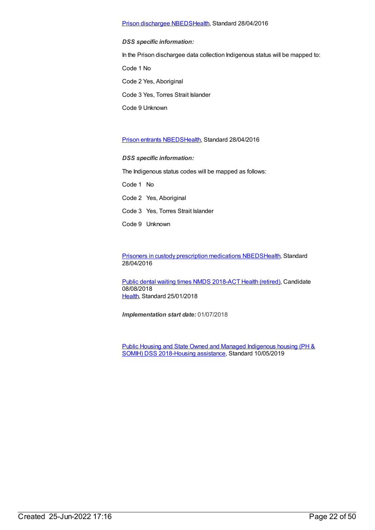#### Prison [dischargee](https://meteor.aihw.gov.au/content/624543) NBED[SHealth](https://meteor.aihw.gov.au/RegistrationAuthority/12), Standard 28/04/2016

*DSS specific information:* In the Prison dischargee data collection Indigenous status will be mapped to: Code 1 No Code 2 Yes, Aboriginal Code 3 Yes, Torres Strait Islander Code 9 Unknown

#### Prison entrants [NBEDS](https://meteor.aihw.gov.au/content/482353)[Health,](https://meteor.aihw.gov.au/RegistrationAuthority/12) Standard 28/04/2016

*DSS specific information:*

The Indigenous status codes will be mapped as follows:

Code 1 No

Code 2 Yes, Aboriginal

- Code 3 Yes, Torres Strait lslander
- Code 9 Unknown

Prisoners in custody prescription [medications](https://meteor.aihw.gov.au/content/618258) NBED[SHealth](https://meteor.aihw.gov.au/RegistrationAuthority/12), Standard 28/04/2016

Public dental [waiting](https://meteor.aihw.gov.au/content/686200) times NMDS 2018-ACT Health [\(retired\)](https://meteor.aihw.gov.au/RegistrationAuthority/9), Candidate 08/08/2018 [Health](https://meteor.aihw.gov.au/RegistrationAuthority/12), Standard 25/01/2018

*Implementation start date:* 01/07/2018

Public Housing and State Owned and Managed Indigenous housing (PH & SOMIH) DSS [2018-Housing](https://meteor.aihw.gov.au/content/711016) [assistance](https://meteor.aihw.gov.au/RegistrationAuthority/11), Standard 10/05/2019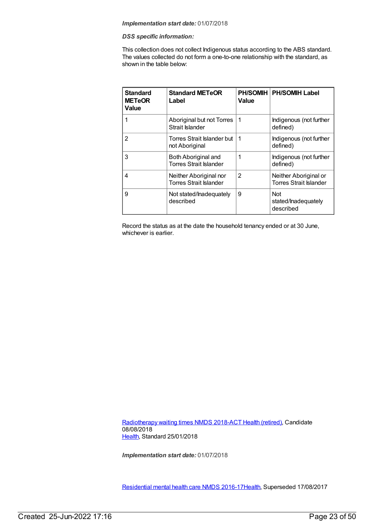#### *DSS specific information:*

This collection does not collect Indigenous status according to the ABS standard. The values collected do not form a one-to-one relationship with the standard, as shown in the table below:

| <b>Standard</b><br><b>METeOR</b><br><b>Value</b> | <b>Standard METeOR</b><br>Label                         | Value          | PH/SOMIH   PH/SOMIH Label                              |
|--------------------------------------------------|---------------------------------------------------------|----------------|--------------------------------------------------------|
|                                                  | Aboriginal but not Torres<br>Strait Islander            | -1             | Indigenous (not further<br>defined)                    |
| 2                                                | Torres Strait Islander but<br>not Aboriginal            | -1             | Indigenous (not further<br>defined)                    |
| 3                                                | Both Aboriginal and<br><b>Torres Strait Islander</b>    | 1              | Indigenous (not further<br>defined)                    |
| 4                                                | Neither Aboriginal nor<br><b>Torres Strait Islander</b> | $\overline{2}$ | Neither Aboriginal or<br><b>Torres Strait Islander</b> |
| 9                                                | Not stated/Inadequately<br>described                    | 9              | <b>Not</b><br>stated/lnadequately<br>described         |

Record the status as at the date the household tenancy ended or at 30 June, whichever is earlier.

[Radiotherapy](https://meteor.aihw.gov.au/content/686202) waiting times NMDS 2018-ACT Health [\(retired\)](https://meteor.aihw.gov.au/RegistrationAuthority/9), Candidate 08/08/2018 [Health](https://meteor.aihw.gov.au/RegistrationAuthority/12), Standard 25/01/2018

*Implementation start date:* 01/07/2018

[Residential](https://meteor.aihw.gov.au/content/608539) mental health care NMDS 2016-1[7Health](https://meteor.aihw.gov.au/RegistrationAuthority/12), Superseded 17/08/2017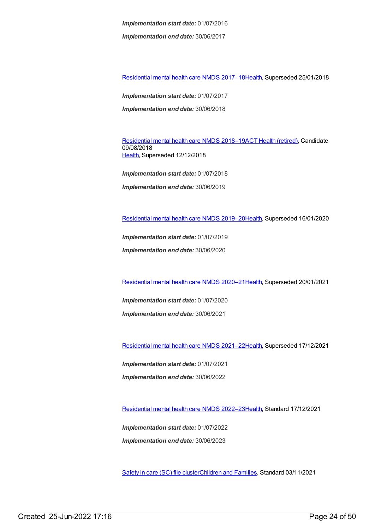*Implementation end date:* 30/06/2017

[Residential](https://meteor.aihw.gov.au/content/645718) mental health care NMDS 2017–1[8Health](https://meteor.aihw.gov.au/RegistrationAuthority/12), Superseded 25/01/2018

*Implementation start date:* 01/07/2017 *Implementation end date:* 30/06/2018

[Residential](https://meteor.aihw.gov.au/content/685927) mental health care NMDS 2018–19ACT Health [\(retired\)](https://meteor.aihw.gov.au/RegistrationAuthority/9), Candidate 09/08/2018 [Health](https://meteor.aihw.gov.au/RegistrationAuthority/12), Superseded 12/12/2018

*Implementation start date:* 01/07/2018 *Implementation end date:* 30/06/2019

[Residential](https://meteor.aihw.gov.au/content/707512) mental health care NMDS 2019–2[0Health](https://meteor.aihw.gov.au/RegistrationAuthority/12), Superseded 16/01/2020

*Implementation start date:* 01/07/2019

*Implementation end date:* 30/06/2020

[Residential](https://meteor.aihw.gov.au/content/722224) mental health care NMDS 2020–2[1Health](https://meteor.aihw.gov.au/RegistrationAuthority/12), Superseded 20/01/2021

*Implementation start date:* 01/07/2020 *Implementation end date:* 30/06/2021

[Residential](https://meteor.aihw.gov.au/content/727354) mental health care NMDS 2021–2[2Health](https://meteor.aihw.gov.au/RegistrationAuthority/12), Superseded 17/12/2021

*Implementation start date:* 01/07/2021 *Implementation end date:* 30/06/2022

[Residential](https://meteor.aihw.gov.au/content/742165) mental health care NMDS 2022–2[3Health](https://meteor.aihw.gov.au/RegistrationAuthority/12), Standard 17/12/2021

*Implementation start date:* 01/07/2022 *Implementation end date:* 30/06/2023

[Safety](https://meteor.aihw.gov.au/content/748884) in care (SC) file cluste[rChildren](https://meteor.aihw.gov.au/RegistrationAuthority/17) and Families, Standard 03/11/2021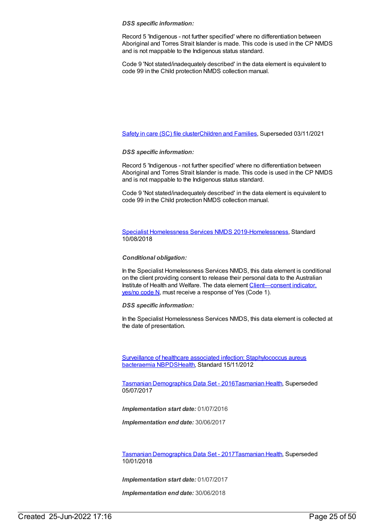#### *DSS specific information:*

Record 5 'Indigenous - not further specified' where no differentiation between Aboriginal and Torres Strait Islander is made. This code is used in the CP NMDS and is not mappable to the Indigenous status standard.

Code 9 'Not stated/inadequately described' in the data element is equivalent to code 99 in the Child protection NMDS collection manual.

[Safety](https://meteor.aihw.gov.au/content/740182) in care (SC) file cluste[rChildren](https://meteor.aihw.gov.au/RegistrationAuthority/17) and Families, Superseded 03/11/2021

#### *DSS specific information:*

Record 5 'Indigenous - not further specified' where no differentiation between Aboriginal and Torres Strait Islander is made. This code is used in the CP NMDS and is not mappable to the Indigenous status standard.

Code 9 'Not stated/inadequately described' in the data element is equivalent to code 99 in the Child protection NMDS collection manual.

Specialist [Homelessness](https://meteor.aihw.gov.au/content/689064) Services NMDS 2019[-Homelessness](https://meteor.aihw.gov.au/RegistrationAuthority/14), Standard 10/08/2018

#### *Conditional obligation:*

In the Specialist Homelessness Services NMDS, this data element is conditional on the client providing consent to release their personal data to the Australian Institute of Health and Welfare. The data element Client-consent indicator, yes/no code N, must receive a response of Yes (Code 1).

#### *DSS specific information:*

In the Specialist Homelessness Services NMDS, this data element is collected at the date of presentation.

Surveillance of healthcare associated infection: [Staphylococcus](https://meteor.aihw.gov.au/content/391133) aureus bacteraemia NBPDS[Health](https://meteor.aihw.gov.au/RegistrationAuthority/12), Standard 15/11/2012

Tasmanian [Demographics](https://meteor.aihw.gov.au/content/662705) Data Set - 2016[Tasmanian](https://meteor.aihw.gov.au/RegistrationAuthority/15) Health, Superseded 05/07/2017

*Implementation start date:* 01/07/2016

*Implementation end date:* 30/06/2017

Tasmanian [Demographics](https://meteor.aihw.gov.au/content/667436) Data Set - 2017[Tasmanian](https://meteor.aihw.gov.au/RegistrationAuthority/15) Health, Superseded 10/01/2018

*Implementation start date:* 01/07/2017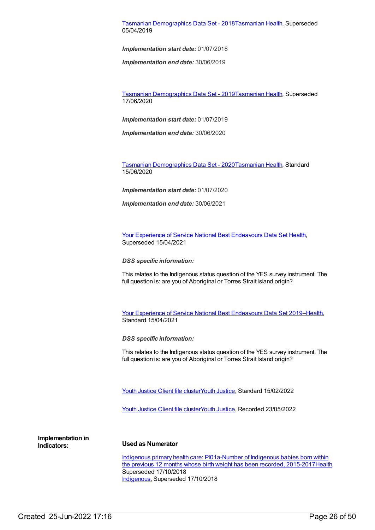#### Tasmanian [Demographics](https://meteor.aihw.gov.au/content/689859) Data Set - 2018[Tasmanian](https://meteor.aihw.gov.au/RegistrationAuthority/15) Health, Superseded 05/04/2019

*Implementation start date:* 01/07/2018

*Implementation end date:* 30/06/2019

Tasmanian [Demographics](https://meteor.aihw.gov.au/content/714887) Data Set - 2019[Tasmanian](https://meteor.aihw.gov.au/RegistrationAuthority/15) Health, Superseded 17/06/2020

*Implementation start date:* 01/07/2019

*Implementation end date:* 30/06/2020

Tasmanian [Demographics](https://meteor.aihw.gov.au/content/727080) Data Set - 2020[Tasmanian](https://meteor.aihw.gov.au/RegistrationAuthority/15) Health, Standard 15/06/2020

*Implementation start date:* 01/07/2020

*Implementation end date:* 30/06/2021

Your Experience of Service National Best [Endeavours](https://meteor.aihw.gov.au/content/635068) Data Set [Health](https://meteor.aihw.gov.au/RegistrationAuthority/12), Superseded 15/04/2021

*DSS specific information:*

This relates to the Indigenous status question of the YES survey instrument. The full question is: are you of Aboriginal or Torres Strait Island origin?

Your Experience of Service National Best [Endeavours](https://meteor.aihw.gov.au/content/738452) Data Set 2019[–Health](https://meteor.aihw.gov.au/RegistrationAuthority/12), Standard 15/04/2021

*DSS specific information:*

This relates to the Indigenous status question of the YES survey instrument. The full question is: are you of Aboriginal or Torres Strait Island origin?

Youth [Justice](https://meteor.aihw.gov.au/RegistrationAuthority/4) Client file clusterYouth Justice, Standard 15/02/2022

Youth [Justice](https://meteor.aihw.gov.au/content/755693) Client file clusterYouth [Justice](https://meteor.aihw.gov.au/RegistrationAuthority/4), Recorded 23/05/2022

**Implementation in**

#### **Indicators: Used as Numerator**

Indigenous primary health care: [PI01a-Number](https://meteor.aihw.gov.au/content/686339) of Indigenous babies born within the previous 12 months whose birth weight has been recorded, 2015-2017 Health, Superseded 17/10/2018 [Indigenous](https://meteor.aihw.gov.au/RegistrationAuthority/6), Superseded 17/10/2018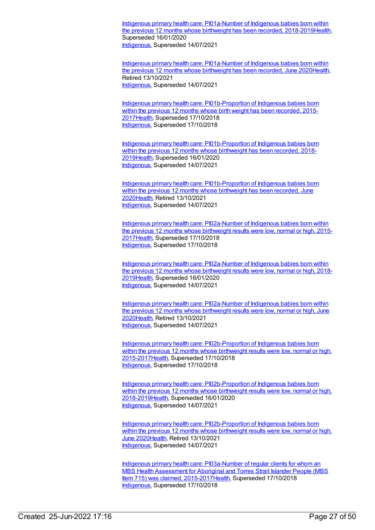Indigenous primary health care: [PI01a-Number](https://meteor.aihw.gov.au/content/687916) of Indigenous babies born within the previous 12 months whose birthweight has been recorded, 2018-2019[Health](https://meteor.aihw.gov.au/RegistrationAuthority/12), Superseded 16/01/2020 [Indigenous](https://meteor.aihw.gov.au/RegistrationAuthority/6), Superseded 14/07/2021

Indigenous primary health care: [PI01a-Number](https://meteor.aihw.gov.au/content/717264) of Indigenous babies born within the previous 12 months whose birthweight has been recorded, June 202[0Health](https://meteor.aihw.gov.au/RegistrationAuthority/12), Retired 13/10/2021 [Indigenous](https://meteor.aihw.gov.au/RegistrationAuthority/6), Superseded 14/07/2021

Indigenous primary health care: [PI01b-Proportion](https://meteor.aihw.gov.au/content/686344) of Indigenous babies born within the previous 12 months whose birth weight has been recorded, 2015-201[7Health](https://meteor.aihw.gov.au/RegistrationAuthority/12), Superseded 17/10/2018 [Indigenous](https://meteor.aihw.gov.au/RegistrationAuthority/6), Superseded 17/10/2018

Indigenous primary health care: [PI01b-Proportion](https://meteor.aihw.gov.au/content/687918) of Indigenous babies born within the previous 12 months whose birthweight has been recorded, 2018-201[9Health](https://meteor.aihw.gov.au/RegistrationAuthority/12), Superseded 16/01/2020 [Indigenous](https://meteor.aihw.gov.au/RegistrationAuthority/6), Superseded 14/07/2021

Indigenous primary health care: [PI01b-Proportion](https://meteor.aihw.gov.au/content/717266) of Indigenous babies born within the previous 12 months whose birthweight has been recorded, June 202[0Health](https://meteor.aihw.gov.au/RegistrationAuthority/12), Retired 13/10/2021 [Indigenous](https://meteor.aihw.gov.au/RegistrationAuthority/6), Superseded 14/07/2021

Indigenous primary health care: [PI02a-Number](https://meteor.aihw.gov.au/content/686346) of Indigenous babies born within the previous 12 months whose birthweight results were low, normal or high, 2015- 201[7Health](https://meteor.aihw.gov.au/RegistrationAuthority/12), Superseded 17/10/2018 [Indigenous](https://meteor.aihw.gov.au/RegistrationAuthority/6), Superseded 17/10/2018

Indigenous primary health care: [PI02a-Number](https://meteor.aihw.gov.au/content/687921) of Indigenous babies born within the previous 12 months whose birthweight results were low, normal or high, 2018- 201[9Health](https://meteor.aihw.gov.au/RegistrationAuthority/12), Superseded 16/01/2020 [Indigenous](https://meteor.aihw.gov.au/RegistrationAuthority/6), Superseded 14/07/2021

Indigenous primary health care: [PI02a-Number](https://meteor.aihw.gov.au/content/717269) of Indigenous babies born within the previous 12 months whose birthweight results were low, normal or high, June 202[0Health](https://meteor.aihw.gov.au/RegistrationAuthority/12), Retired 13/10/2021 [Indigenous](https://meteor.aihw.gov.au/RegistrationAuthority/6), Superseded 14/07/2021

Indigenous primary health care: [PI02b-Proportion](https://meteor.aihw.gov.au/content/686348) of Indigenous babies born within the previous 12 months whose birthweight results were low, normal or high, 2015-201[7Health](https://meteor.aihw.gov.au/RegistrationAuthority/12), Superseded 17/10/2018 [Indigenous](https://meteor.aihw.gov.au/RegistrationAuthority/6), Superseded 17/10/2018

Indigenous primary health care: [PI02b-Proportion](https://meteor.aihw.gov.au/content/687923) of Indigenous babies born within the previous 12 months whose birthweight results were low, normal or high, 2018-201[9Health](https://meteor.aihw.gov.au/RegistrationAuthority/12), Superseded 16/01/2020 [Indigenous](https://meteor.aihw.gov.au/RegistrationAuthority/6), Superseded 14/07/2021

Indigenous primary health care: [PI02b-Proportion](https://meteor.aihw.gov.au/content/717271) of Indigenous babies born within the previous 12 months whose birthweight results were low, normal or high, June 2020[Health](https://meteor.aihw.gov.au/RegistrationAuthority/12), Retired 13/10/2021 [Indigenous](https://meteor.aihw.gov.au/RegistrationAuthority/6), Superseded 14/07/2021

Indigenous primary health care: PI03a-Number of regular clients for whom an MBS Health Assessment for Aboriginal and Torres Strait Islander People (MBS Item 715) was claimed, 2015-2017 Health, Superseded 17/10/2018 [Indigenous](https://meteor.aihw.gov.au/RegistrationAuthority/6), Superseded 17/10/2018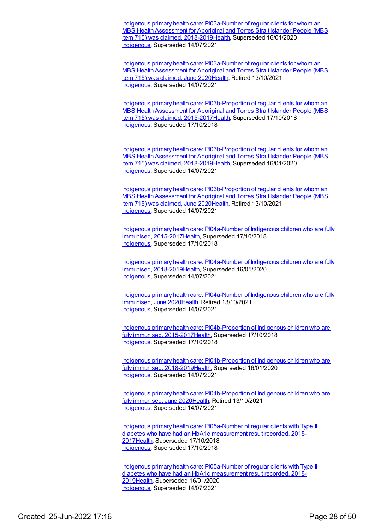Indigenous primary health care: PI03a-Number of regular clients for whom an MBS Health Assessment for Aboriginal and Torres Strait Islander People (MBS Item 715) was claimed, [2018-2019Health,](https://meteor.aihw.gov.au/content/687925) Superseded 16/01/2020 [Indigenous](https://meteor.aihw.gov.au/RegistrationAuthority/6), Superseded 14/07/2021

Indigenous primary health care: [PI03a-Number](https://meteor.aihw.gov.au/content/717273) of regular clients for whom an MBS Health Assessment for Aboriginal and Torres Strait Islander People (MBS Item 715) was claimed, June 202[0Health](https://meteor.aihw.gov.au/RegistrationAuthority/12), Retired 13/10/2021 [Indigenous](https://meteor.aihw.gov.au/RegistrationAuthority/6), Superseded 14/07/2021

Indigenous primary health care: [PI03b-Proportion](https://meteor.aihw.gov.au/content/686405) of regular clients for whom an MBS Health Assessment for Aboriginal and Torres Strait Islander People (MBS Item 715) was claimed, 2015-2017 Health, Superseded 17/10/2018 [Indigenous](https://meteor.aihw.gov.au/RegistrationAuthority/6), Superseded 17/10/2018

Indigenous primary health care: [PI03b-Proportion](https://meteor.aihw.gov.au/content/687927) of regular clients for whom an MBS Health Assessment for Aboriginal and Torres Strait Islander People (MBS Item 715) was claimed, 2018-201[9Health](https://meteor.aihw.gov.au/RegistrationAuthority/12), Superseded 16/01/2020 [Indigenous](https://meteor.aihw.gov.au/RegistrationAuthority/6), Superseded 14/07/2021

Indigenous primary health care: [PI03b-Proportion](https://meteor.aihw.gov.au/content/717275) of regular clients for whom an MBS Health Assessment for Aboriginal and Torres Strait Islander People (MBS Item 715) was claimed, June 202[0Health](https://meteor.aihw.gov.au/RegistrationAuthority/12), Retired 13/10/2021 [Indigenous](https://meteor.aihw.gov.au/RegistrationAuthority/6), Superseded 14/07/2021

Indigenous primary health care: PI04a-Number of Indigenous children who are fully immunised, [2015-2017Health,](https://meteor.aihw.gov.au/content/686410) Superseded 17/10/2018 [Indigenous](https://meteor.aihw.gov.au/RegistrationAuthority/6), Superseded 17/10/2018

Indigenous primary health care: PI04a-Number of Indigenous children who are fully immunised, [2018-2019Health,](https://meteor.aihw.gov.au/content/687929) Superseded 16/01/2020 [Indigenous](https://meteor.aihw.gov.au/RegistrationAuthority/6), Superseded 14/07/2021

Indigenous primary health care: [PI04a-Number](https://meteor.aihw.gov.au/content/717277) of Indigenous children who are fully immunised, June 202[0Health](https://meteor.aihw.gov.au/RegistrationAuthority/12), Retired 13/10/2021 [Indigenous](https://meteor.aihw.gov.au/RegistrationAuthority/6), Superseded 14/07/2021

Indigenous primary health care: [PI04b-Proportion](https://meteor.aihw.gov.au/content/686416) of Indigenous children who are fully immunised, 2015-201[7Health](https://meteor.aihw.gov.au/RegistrationAuthority/12), Superseded 17/10/2018 [Indigenous](https://meteor.aihw.gov.au/RegistrationAuthority/6), Superseded 17/10/2018

Indigenous primary health care: [PI04b-Proportion](https://meteor.aihw.gov.au/content/687937) of Indigenous children who are fully immunised, 2018-201[9Health](https://meteor.aihw.gov.au/RegistrationAuthority/12), Superseded 16/01/2020 [Indigenous](https://meteor.aihw.gov.au/RegistrationAuthority/6), Superseded 14/07/2021

Indigenous primary health care: [PI04b-Proportion](https://meteor.aihw.gov.au/content/717279) of Indigenous children who are fully immunised, June 202[0Health](https://meteor.aihw.gov.au/RegistrationAuthority/12), Retired 13/10/2021 [Indigenous](https://meteor.aihw.gov.au/RegistrationAuthority/6), Superseded 14/07/2021

Indigenous primary health care: [PI05a-Number](https://meteor.aihw.gov.au/content/686420) of regular clients with Type II diabetes who have had an HbA1c measurement result recorded, 2015- 201[7Health](https://meteor.aihw.gov.au/RegistrationAuthority/12), Superseded 17/10/2018 [Indigenous](https://meteor.aihw.gov.au/RegistrationAuthority/6), Superseded 17/10/2018

Indigenous primary health care: [PI05a-Number](https://meteor.aihw.gov.au/content/687939) of regular clients with Type II diabetes who have had an HbA1c measurement result recorded, 2018- 201[9Health](https://meteor.aihw.gov.au/RegistrationAuthority/12), Superseded 16/01/2020 [Indigenous](https://meteor.aihw.gov.au/RegistrationAuthority/6), Superseded 14/07/2021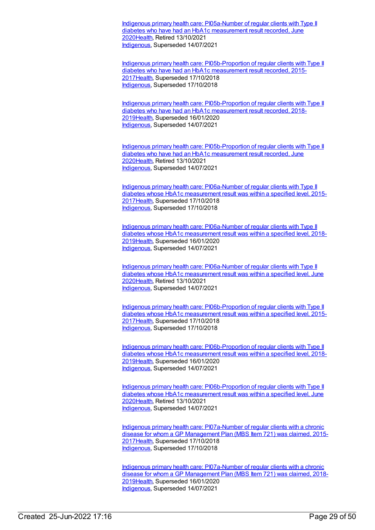Indigenous primary health care: [PI05a-Number](https://meteor.aihw.gov.au/content/717283) of regular clients with Type II diabetes who have had an HbA1c measurement result recorded, June 202[0Health](https://meteor.aihw.gov.au/RegistrationAuthority/12), Retired 13/10/2021 [Indigenous](https://meteor.aihw.gov.au/RegistrationAuthority/6), Superseded 14/07/2021

Indigenous primary health care: [PI05b-Proportion](https://meteor.aihw.gov.au/content/686352) of regular clients with Type II diabetes who have had an HbA1c measurement result recorded, 2015- 201[7Health](https://meteor.aihw.gov.au/RegistrationAuthority/12), Superseded 17/10/2018 [Indigenous](https://meteor.aihw.gov.au/RegistrationAuthority/6), Superseded 17/10/2018

Indigenous primary health care: [PI05b-Proportion](https://meteor.aihw.gov.au/content/687941) of regular clients with Type II diabetes who have had an HbA1c measurement result recorded, 2018- 201[9Health](https://meteor.aihw.gov.au/RegistrationAuthority/12), Superseded 16/01/2020 [Indigenous](https://meteor.aihw.gov.au/RegistrationAuthority/6), Superseded 14/07/2021

Indigenous primary health care: [PI05b-Proportion](https://meteor.aihw.gov.au/content/717285) of regular clients with Type II diabetes who have had an HbA1c measurement result recorded, June 202[0Health](https://meteor.aihw.gov.au/RegistrationAuthority/12), Retired 13/10/2021 [Indigenous](https://meteor.aihw.gov.au/RegistrationAuthority/6), Superseded 14/07/2021

Indigenous primary health care: [PI06a-Number](https://meteor.aihw.gov.au/content/686425) of regular clients with Type II diabetes whose HbA1c measurement result was within a specified level, 2015- 201[7Health](https://meteor.aihw.gov.au/RegistrationAuthority/12), Superseded 17/10/2018 [Indigenous](https://meteor.aihw.gov.au/RegistrationAuthority/6), Superseded 17/10/2018

Indigenous primary health care: [PI06a-Number](https://meteor.aihw.gov.au/content/687943) of regular clients with Type II diabetes whose HbA1c measurement result was within a specified level, 2018- 201[9Health](https://meteor.aihw.gov.au/RegistrationAuthority/12), Superseded 16/01/2020 [Indigenous](https://meteor.aihw.gov.au/RegistrationAuthority/6), Superseded 14/07/2021

Indigenous primary health care: [PI06a-Number](https://meteor.aihw.gov.au/content/717287) of regular clients with Type II diabetes whose HbA1c measurement result was within a specified level, June 202[0Health](https://meteor.aihw.gov.au/RegistrationAuthority/12), Retired 13/10/2021 [Indigenous](https://meteor.aihw.gov.au/RegistrationAuthority/6), Superseded 14/07/2021

Indigenous primary health care: [PI06b-Proportion](https://meteor.aihw.gov.au/content/686356) of regular clients with Type II diabetes whose HbA1c measurement result was within a specified level, 2015- 201[7Health](https://meteor.aihw.gov.au/RegistrationAuthority/12), Superseded 17/10/2018 [Indigenous](https://meteor.aihw.gov.au/RegistrationAuthority/6), Superseded 17/10/2018

Indigenous primary health care: [PI06b-Proportion](https://meteor.aihw.gov.au/content/687945) of regular clients with Type II diabetes whose HbA1c measurement result was within a specified level, 2018- 201[9Health](https://meteor.aihw.gov.au/RegistrationAuthority/12), Superseded 16/01/2020 [Indigenous](https://meteor.aihw.gov.au/RegistrationAuthority/6), Superseded 14/07/2021

Indigenous primary health care: [PI06b-Proportion](https://meteor.aihw.gov.au/content/717289) of regular clients with Type II diabetes whose HbA1c measurement result was within a specified level, June 202[0Health](https://meteor.aihw.gov.au/RegistrationAuthority/12), Retired 13/10/2021 [Indigenous](https://meteor.aihw.gov.au/RegistrationAuthority/6), Superseded 14/07/2021

Indigenous primary health care: [PI07a-Number](https://meteor.aihw.gov.au/content/686434) of regular clients with a chronic disease for whom a GP Management Plan (MBS Item 721) was claimed, 2015- 201[7Health](https://meteor.aihw.gov.au/RegistrationAuthority/12), Superseded 17/10/2018 [Indigenous](https://meteor.aihw.gov.au/RegistrationAuthority/6), Superseded 17/10/2018

Indigenous primary health care: [PI07a-Number](https://meteor.aihw.gov.au/content/687948) of regular clients with a chronic disease for whom a GP Management Plan (MBS Item 721) was claimed, 2018-201[9Health](https://meteor.aihw.gov.au/RegistrationAuthority/12), Superseded 16/01/2020 [Indigenous](https://meteor.aihw.gov.au/RegistrationAuthority/6), Superseded 14/07/2021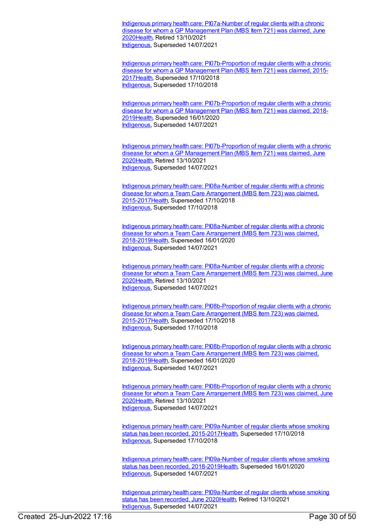Indigenous primary health care: [PI07a-Number](https://meteor.aihw.gov.au/content/717292) of regular clients with a chronic disease for whom a GP Management Plan (MBS Item 721) was claimed, June 202[0Health](https://meteor.aihw.gov.au/RegistrationAuthority/12), Retired 13/10/2021 [Indigenous](https://meteor.aihw.gov.au/RegistrationAuthority/6), Superseded 14/07/2021

Indigenous primary health care: [PI07b-Proportion](https://meteor.aihw.gov.au/content/686438) of regular clients with a chronic disease for whom a GP Management Plan (MBS Item 721) was claimed, 2015- 201[7Health](https://meteor.aihw.gov.au/RegistrationAuthority/12), Superseded 17/10/2018 [Indigenous](https://meteor.aihw.gov.au/RegistrationAuthority/6), Superseded 17/10/2018

Indigenous primary health care: [PI07b-Proportion](https://meteor.aihw.gov.au/content/687950) of regular clients with a chronic disease for whom a GP Management Plan (MBS Item 721) was claimed, 2018- 201[9Health](https://meteor.aihw.gov.au/RegistrationAuthority/12), Superseded 16/01/2020 [Indigenous](https://meteor.aihw.gov.au/RegistrationAuthority/6), Superseded 14/07/2021

Indigenous primary health care: [PI07b-Proportion](https://meteor.aihw.gov.au/content/717294) of regular clients with a chronic disease for whom a GP Management Plan (MBS Item 721) was claimed, June 202[0Health](https://meteor.aihw.gov.au/RegistrationAuthority/12), Retired 13/10/2021 [Indigenous](https://meteor.aihw.gov.au/RegistrationAuthority/6), Superseded 14/07/2021

Indigenous primary health care: [PI08a-Number](https://meteor.aihw.gov.au/content/686442) of regular clients with a chronic disease for whom a Team Care Arrangement (MBS Item 723) was claimed, 2015-201[7Health](https://meteor.aihw.gov.au/RegistrationAuthority/12), Superseded 17/10/2018 [Indigenous](https://meteor.aihw.gov.au/RegistrationAuthority/6), Superseded 17/10/2018

Indigenous primary health care: PI08a-Number of regular clients with a chronic disease for whom a Team Care Arrangement (MBS Item 723) was claimed, [2018-2019](https://meteor.aihw.gov.au/content/687952)[Healt](https://meteor.aihw.gov.au/RegistrationAuthority/12)[h,](https://meteor.aihw.gov.au/content/687952) Superseded 16/01/2020 [Indigenous](https://meteor.aihw.gov.au/RegistrationAuthority/6), Superseded 14/07/2021

Indigenous primary health care: [PI08a-Number](https://meteor.aihw.gov.au/content/717296) of regular clients with a chronic disease for whom a Team Care Arrangement (MBS Item 723) was claimed, June 202[0Health](https://meteor.aihw.gov.au/RegistrationAuthority/12), Retired 13/10/2021 [Indigenous](https://meteor.aihw.gov.au/RegistrationAuthority/6), Superseded 14/07/2021

Indigenous primary health care: [PI08b-Proportion](https://meteor.aihw.gov.au/content/686445) of regular clients with a chronic disease for whom a Team Care Arrangement (MBS Item 723) was claimed, 2015-201[7Health](https://meteor.aihw.gov.au/RegistrationAuthority/12), Superseded 17/10/2018 [Indigenous](https://meteor.aihw.gov.au/RegistrationAuthority/6), Superseded 17/10/2018

Indigenous primary health care: [PI08b-Proportion](https://meteor.aihw.gov.au/content/687954) of regular clients with a chronic disease for whom a Team Care Arrangement (MBS Item 723) was claimed, 2018-201[9Health](https://meteor.aihw.gov.au/RegistrationAuthority/12), Superseded 16/01/2020 [Indigenous](https://meteor.aihw.gov.au/RegistrationAuthority/6), Superseded 14/07/2021

Indigenous primary health care: [PI08b-Proportion](https://meteor.aihw.gov.au/content/717298) of regular clients with a chronic disease for whom a Team Care Arrangement (MBS Item 723) was claimed, June 202[0Health](https://meteor.aihw.gov.au/RegistrationAuthority/12), Retired 13/10/2021 [Indigenous](https://meteor.aihw.gov.au/RegistrationAuthority/6), Superseded 14/07/2021

Indigenous primary health care: PI09a-Number of regular clients whose smoking status has been recorded, [2015-2017](https://meteor.aihw.gov.au/content/686447)[Healt](https://meteor.aihw.gov.au/RegistrationAuthority/12)[h,](https://meteor.aihw.gov.au/content/686447) Superseded 17/10/2018 [Indigenous](https://meteor.aihw.gov.au/RegistrationAuthority/6), Superseded 17/10/2018

Indigenous primary health care: PI09a-Number of regular clients whose smoking status has been recorded, [2018-2019Health,](https://meteor.aihw.gov.au/content/687957) Superseded 16/01/2020 [Indigenous](https://meteor.aihw.gov.au/RegistrationAuthority/6), Superseded 14/07/2021

Indigenous primary health care: [PI09a-Number](https://meteor.aihw.gov.au/content/717300) of regular clients whose smoking status has been recorded, June 202[0Health](https://meteor.aihw.gov.au/RegistrationAuthority/12), Retired 13/10/2021 [Indigenous](https://meteor.aihw.gov.au/RegistrationAuthority/6), Superseded 14/07/2021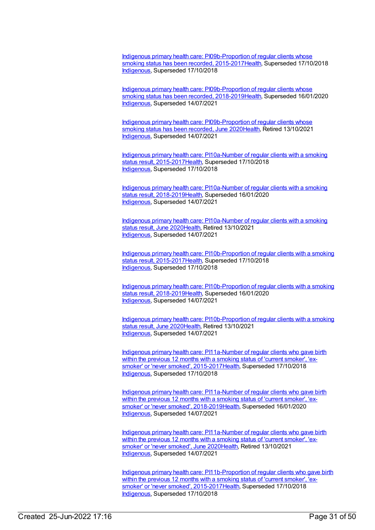Indigenous primary health care: [PI09b-Proportion](https://meteor.aihw.gov.au/content/686451) of regular clients whose smoking status has been recorded, 2015-2017 Health, Superseded 17/10/2018 [Indigenous](https://meteor.aihw.gov.au/RegistrationAuthority/6), Superseded 17/10/2018

Indigenous primary health care: [PI09b-Proportion](https://meteor.aihw.gov.au/content/687959) of regular clients whose smoking status has been recorded, 2018-201[9Health](https://meteor.aihw.gov.au/RegistrationAuthority/12), Superseded 16/01/2020 [Indigenous](https://meteor.aihw.gov.au/RegistrationAuthority/6), Superseded 14/07/2021

Indigenous primary health care: [PI09b-Proportion](https://meteor.aihw.gov.au/content/717302) of regular clients whose smoking status has been recorded, June 202[0Health](https://meteor.aihw.gov.au/RegistrationAuthority/12), Retired 13/10/2021 [Indigenous](https://meteor.aihw.gov.au/RegistrationAuthority/6), Superseded 14/07/2021

Indigenous primary health care: PI10a-Number of regular clients with a smoking status result, 2015-2017 Health, Superseded 17/10/2018 [Indigenous](https://meteor.aihw.gov.au/RegistrationAuthority/6), Superseded 17/10/2018

Indigenous primary health care: PI10a-Number of regular clients with a smoking status result, [2018-2019Health,](https://meteor.aihw.gov.au/content/687961) Superseded 16/01/2020 [Indigenous](https://meteor.aihw.gov.au/RegistrationAuthority/6), Superseded 14/07/2021

Indigenous primary health care: [PI10a-Number](https://meteor.aihw.gov.au/content/717304) of regular clients with a smoking status result, June 2020[Health](https://meteor.aihw.gov.au/RegistrationAuthority/12), Retired 13/10/2021 [Indigenous](https://meteor.aihw.gov.au/RegistrationAuthority/6), Superseded 14/07/2021

Indigenous primary health care: [PI10b-Proportion](https://meteor.aihw.gov.au/content/686456) of regular clients with a smoking status result, 2015-201[7Health](https://meteor.aihw.gov.au/RegistrationAuthority/12), Superseded 17/10/2018 [Indigenous](https://meteor.aihw.gov.au/RegistrationAuthority/6), Superseded 17/10/2018

Indigenous primary health care: [PI10b-Proportion](https://meteor.aihw.gov.au/content/687963) of regular clients with a smoking status result, 2018-201[9Health](https://meteor.aihw.gov.au/RegistrationAuthority/12), Superseded 16/01/2020 [Indigenous](https://meteor.aihw.gov.au/RegistrationAuthority/6), Superseded 14/07/2021

Indigenous primary health care: [PI10b-Proportion](https://meteor.aihw.gov.au/content/717306) of regular clients with a smoking status result, June 2020[Health](https://meteor.aihw.gov.au/RegistrationAuthority/12), Retired 13/10/2021 [Indigenous](https://meteor.aihw.gov.au/RegistrationAuthority/6), Superseded 14/07/2021

Indigenous primary health care: PI11a-Number of regular clients who gave birth within the previous 12 months with a smoking status of 'current smoker', 'exsmoker' or 'never smoked', [2015-2017Health,](https://meteor.aihw.gov.au/content/686460) Superseded 17/10/2018 [Indigenous](https://meteor.aihw.gov.au/RegistrationAuthority/6), Superseded 17/10/2018

Indigenous primary health care: PI11a-Number of regular clients who gave birth within the previous 12 months with a smoking status of 'current smoker', 'exsmoker' or 'never smoked', [2018-2019Health,](https://meteor.aihw.gov.au/content/687966) Superseded 16/01/2020 [Indigenous](https://meteor.aihw.gov.au/RegistrationAuthority/6), Superseded 14/07/2021

Indigenous primary health care: [PI11a-Number](https://meteor.aihw.gov.au/content/717308) of regular clients who gave birth within the previous 12 months with a smoking status of 'current smoker', 'exsmoker' or 'never smoked', June 202[0Health](https://meteor.aihw.gov.au/RegistrationAuthority/12), Retired 13/10/2021 [Indigenous](https://meteor.aihw.gov.au/RegistrationAuthority/6), Superseded 14/07/2021

Indigenous primary health care: [PI11b-Proportion](https://meteor.aihw.gov.au/content/686465) of regular clients who gave birth within the previous 12 months with a smoking status of 'current smoker', 'exsmoker' or 'never smoked', 2015-201[7Health](https://meteor.aihw.gov.au/RegistrationAuthority/12), Superseded 17/10/2018 [Indigenous](https://meteor.aihw.gov.au/RegistrationAuthority/6), Superseded 17/10/2018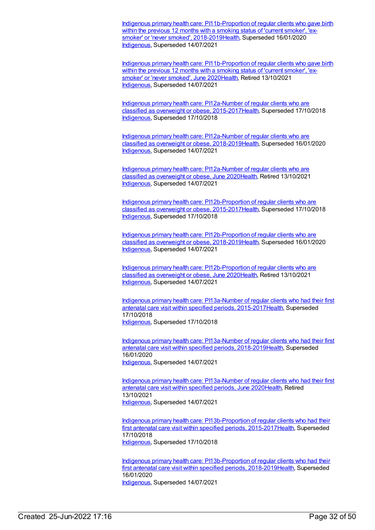Indigenous primary health care: [PI11b-Proportion](https://meteor.aihw.gov.au/content/687968) of regular clients who gave birth within the previous 12 months with a smoking status of 'current smoker', 'exsmoker' or 'never smoked', 2018-201[9Health](https://meteor.aihw.gov.au/RegistrationAuthority/12), Superseded 16/01/2020 [Indigenous](https://meteor.aihw.gov.au/RegistrationAuthority/6), Superseded 14/07/2021

Indigenous primary health care: [PI11b-Proportion](https://meteor.aihw.gov.au/content/717310) of regular clients who gave birth within the previous 12 months with a smoking status of 'current smoker', 'exsmoker' or 'never smoked', June 202[0Health](https://meteor.aihw.gov.au/RegistrationAuthority/12), Retired 13/10/2021 [Indigenous](https://meteor.aihw.gov.au/RegistrationAuthority/6), Superseded 14/07/2021

Indigenous primary health care: PI12a-Number of regular clients who are classified as overweight or obese, [2015-2017Health,](https://meteor.aihw.gov.au/content/686468) Superseded 17/10/2018 [Indigenous](https://meteor.aihw.gov.au/RegistrationAuthority/6), Superseded 17/10/2018

Indigenous primary health care: PI12a-Number of regular clients who are classified as overweight or obese, [2018-2019Health,](https://meteor.aihw.gov.au/content/687970) Superseded 16/01/2020 [Indigenous](https://meteor.aihw.gov.au/RegistrationAuthority/6), Superseded 14/07/2021

Indigenous primary health care: [PI12a-Number](https://meteor.aihw.gov.au/content/717312) of regular clients who are classified as overweight or obese, June 2020[Health](https://meteor.aihw.gov.au/RegistrationAuthority/12), Retired 13/10/2021 [Indigenous](https://meteor.aihw.gov.au/RegistrationAuthority/6), Superseded 14/07/2021

Indigenous primary health care: [PI12b-Proportion](https://meteor.aihw.gov.au/content/686470) of regular clients who are classified as overweight or obese, 2015-201[7Health](https://meteor.aihw.gov.au/RegistrationAuthority/12), Superseded 17/10/2018 [Indigenous](https://meteor.aihw.gov.au/RegistrationAuthority/6), Superseded 17/10/2018

Indigenous primary health care: [PI12b-Proportion](https://meteor.aihw.gov.au/content/687972) of regular clients who are classified as overweight or obese, 2018-201[9Health](https://meteor.aihw.gov.au/RegistrationAuthority/12), Superseded 16/01/2020 [Indigenous](https://meteor.aihw.gov.au/RegistrationAuthority/6), Superseded 14/07/2021

Indigenous primary health care: [PI12b-Proportion](https://meteor.aihw.gov.au/content/717314) of regular clients who are classified as overweight or obese, June 2020[Health](https://meteor.aihw.gov.au/RegistrationAuthority/12), Retired 13/10/2021 [Indigenous](https://meteor.aihw.gov.au/RegistrationAuthority/6), Superseded 14/07/2021

Indigenous primary health care: PI13a-Number of regular clients who had their first antenatal care visit within specified periods, [2015-2017Health,](https://meteor.aihw.gov.au/content/686473) Superseded 17/10/2018 [Indigenous](https://meteor.aihw.gov.au/RegistrationAuthority/6), Superseded 17/10/2018

Indigenous primary health care: PI13a-Number of regular clients who had their first antenatal care visit within specified periods, [2018-2019Health,](https://meteor.aihw.gov.au/content/687974) Superseded 16/01/2020 [Indigenous](https://meteor.aihw.gov.au/RegistrationAuthority/6), Superseded 14/07/2021

Indigenous primary health care: [PI13a-Number](https://meteor.aihw.gov.au/content/717316) of regular clients who had their first antenatal care visit within specified periods, June 2020[Health](https://meteor.aihw.gov.au/RegistrationAuthority/12), Retired 13/10/2021 [Indigenous](https://meteor.aihw.gov.au/RegistrationAuthority/6), Superseded 14/07/2021

Indigenous primary health care: [PI13b-Proportion](https://meteor.aihw.gov.au/content/686477) of regular clients who had their first antenatal care visit within specified periods, 2015-201[7Health](https://meteor.aihw.gov.au/RegistrationAuthority/12), Superseded 17/10/2018 [Indigenous](https://meteor.aihw.gov.au/RegistrationAuthority/6), Superseded 17/10/2018

Indigenous primary health care: [PI13b-Proportion](https://meteor.aihw.gov.au/content/687976) of regular clients who had their first antenatal care visit within specified periods, 2018-201[9Health](https://meteor.aihw.gov.au/RegistrationAuthority/12), Superseded 16/01/2020 [Indigenous](https://meteor.aihw.gov.au/RegistrationAuthority/6), Superseded 14/07/2021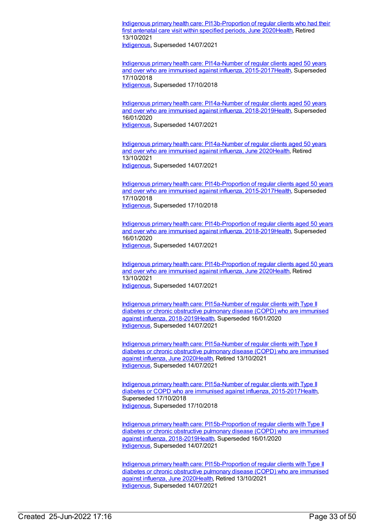Indigenous primary health care: [PI13b-Proportion](https://meteor.aihw.gov.au/content/717318) of regular clients who had their first antenatal care visit within specified periods, June 202[0Health](https://meteor.aihw.gov.au/RegistrationAuthority/12), Retired 13/10/2021

[Indigenous](https://meteor.aihw.gov.au/RegistrationAuthority/6), Superseded 14/07/2021

Indigenous primary health care: PI14a-Number of regular clients aged 50 years and over who are immunised against influenza, [2015-2017](https://meteor.aihw.gov.au/content/686480)[Healt](https://meteor.aihw.gov.au/RegistrationAuthority/12)[h,](https://meteor.aihw.gov.au/content/686480) Superseded 17/10/2018 [Indigenous](https://meteor.aihw.gov.au/RegistrationAuthority/6), Superseded 17/10/2018

Indigenous primary health care: PI14a-Number of regular clients aged 50 years and over who are immunised against influenza, [2018-2019Health,](https://meteor.aihw.gov.au/content/687978) Superseded 16/01/2020 [Indigenous](https://meteor.aihw.gov.au/RegistrationAuthority/6), Superseded 14/07/2021

Indigenous primary health care: [PI14a-Number](https://meteor.aihw.gov.au/content/717320) of regular clients aged 50 years and over who are immunised against influenza, June 2020[Health](https://meteor.aihw.gov.au/RegistrationAuthority/12), Retired 13/10/2021 [Indigenous](https://meteor.aihw.gov.au/RegistrationAuthority/6), Superseded 14/07/2021

Indigenous primary health care: [PI14b-Proportion](https://meteor.aihw.gov.au/content/686484) of regular clients aged 50 years and over who are immunised against influenza, 2015-2017[Health](https://meteor.aihw.gov.au/RegistrationAuthority/12), Superseded 17/10/2018 [Indigenous](https://meteor.aihw.gov.au/RegistrationAuthority/6), Superseded 17/10/2018

Indigenous primary health care: [PI14b-Proportion](https://meteor.aihw.gov.au/content/687980) of regular clients aged 50 years and over who are immunised against influenza, 2018-2019[Health](https://meteor.aihw.gov.au/RegistrationAuthority/12), Superseded 16/01/2020 [Indigenous](https://meteor.aihw.gov.au/RegistrationAuthority/6), Superseded 14/07/2021

Indigenous primary health care: [PI14b-Proportion](https://meteor.aihw.gov.au/content/717322) of regular clients aged 50 years and over who are immunised against influenza, June 2020[Health](https://meteor.aihw.gov.au/RegistrationAuthority/12), Retired 13/10/2021 [Indigenous](https://meteor.aihw.gov.au/RegistrationAuthority/6), Superseded 14/07/2021

Indigenous primary health care: PI15a-Number of regular clients with Type II diabetes or chronic obstructive pulmonary disease (COPD) who are immunised against influenza, [2018-2019Health,](https://meteor.aihw.gov.au/content/687982) Superseded 16/01/2020 [Indigenous](https://meteor.aihw.gov.au/RegistrationAuthority/6), Superseded 14/07/2021

Indigenous primary health care: [PI15a-Number](https://meteor.aihw.gov.au/content/717324) of regular clients with Type II diabetes or chronic obstructive pulmonary disease (COPD) who are immunised against influenza, June 202[0Health](https://meteor.aihw.gov.au/RegistrationAuthority/12), Retired 13/10/2021 [Indigenous](https://meteor.aihw.gov.au/RegistrationAuthority/6), Superseded 14/07/2021

Indigenous primary health care: [PI15a-Number](https://meteor.aihw.gov.au/content/686342) of regular clients with Type II diabetes or COPD who are immunised against influenza, 2015-2017[Health](https://meteor.aihw.gov.au/RegistrationAuthority/12), Superseded 17/10/2018 [Indigenous](https://meteor.aihw.gov.au/RegistrationAuthority/6), Superseded 17/10/2018

Indigenous primary health care: [PI15b-Proportion](https://meteor.aihw.gov.au/content/687984) of regular clients with Type II diabetes or chronic obstructive pulmonary disease (COPD) who are immunised against influenza, 2018-201[9Health](https://meteor.aihw.gov.au/RegistrationAuthority/12), Superseded 16/01/2020 [Indigenous](https://meteor.aihw.gov.au/RegistrationAuthority/6), Superseded 14/07/2021

Indigenous primary health care: [PI15b-Proportion](https://meteor.aihw.gov.au/content/717326) of regular clients with Type II diabetes or chronic obstructive pulmonary disease (COPD) who are immunised against influenza, June 202[0Health](https://meteor.aihw.gov.au/RegistrationAuthority/12), Retired 13/10/2021 [Indigenous](https://meteor.aihw.gov.au/RegistrationAuthority/6), Superseded 14/07/2021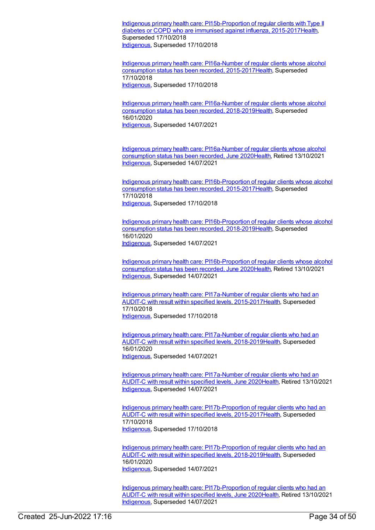Indigenous primary health care: [PI15b-Proportion](https://meteor.aihw.gov.au/content/686388) of regular clients with Type II diabetes or COPD who are immunised against influenza, 2015-2017[Health](https://meteor.aihw.gov.au/RegistrationAuthority/12), Superseded 17/10/2018 [Indigenous](https://meteor.aihw.gov.au/RegistrationAuthority/6), Superseded 17/10/2018

Indigenous primary health care: PI16a-Number of regular clients whose alcohol consumption status has been recorded, [2015-2017](https://meteor.aihw.gov.au/content/686354)[Healt](https://meteor.aihw.gov.au/RegistrationAuthority/12)[h,](https://meteor.aihw.gov.au/content/686354) Superseded 17/10/2018 [Indigenous](https://meteor.aihw.gov.au/RegistrationAuthority/6), Superseded 17/10/2018

Indigenous primary health care: PI16a-Number of regular clients whose alcohol consumption status has been recorded, [2018-2019Health,](https://meteor.aihw.gov.au/content/687988) Superseded 16/01/2020 [Indigenous](https://meteor.aihw.gov.au/RegistrationAuthority/6), Superseded 14/07/2021

Indigenous primary health care: [PI16a-Number](https://meteor.aihw.gov.au/content/717330) of regular clients whose alcohol consumption status has been recorded, June 2020[Health](https://meteor.aihw.gov.au/RegistrationAuthority/12), Retired 13/10/2021 [Indigenous](https://meteor.aihw.gov.au/RegistrationAuthority/6), Superseded 14/07/2021

Indigenous primary health care: [PI16b-Proportion](https://meteor.aihw.gov.au/content/686399) of regular clients whose alcohol consumption status has been recorded, 2015-2017[Health](https://meteor.aihw.gov.au/RegistrationAuthority/12), Superseded 17/10/2018 [Indigenous](https://meteor.aihw.gov.au/RegistrationAuthority/6), Superseded 17/10/2018

Indigenous primary health care: [PI16b-Proportion](https://meteor.aihw.gov.au/content/687990) of regular clients whose alcohol consumption status has been recorded, 2018-2019[Health](https://meteor.aihw.gov.au/RegistrationAuthority/12), Superseded 16/01/2020 [Indigenous](https://meteor.aihw.gov.au/RegistrationAuthority/6), Superseded 14/07/2021

Indigenous primary health care: [PI16b-Proportion](https://meteor.aihw.gov.au/content/717332) of regular clients whose alcohol consumption status has been recorded, June 2020[Health](https://meteor.aihw.gov.au/RegistrationAuthority/12), Retired 13/10/2021 [Indigenous](https://meteor.aihw.gov.au/RegistrationAuthority/6), Superseded 14/07/2021

Indigenous primary health care: PI17a-Number of regular clients who had an AUDIT-C with result within specified levels, [2015-2017Health,](https://meteor.aihw.gov.au/content/686358) Superseded 17/10/2018 [Indigenous](https://meteor.aihw.gov.au/RegistrationAuthority/6), Superseded 17/10/2018

Indigenous primary health care: PI17a-Number of regular clients who had an AUDIT-C with result within specified levels, [2018-2019Health,](https://meteor.aihw.gov.au/content/687992) Superseded 16/01/2020 [Indigenous](https://meteor.aihw.gov.au/RegistrationAuthority/6), Superseded 14/07/2021

Indigenous primary health care: [PI17a-Number](https://meteor.aihw.gov.au/content/717334) of regular clients who had an AUDIT-C with result within specified levels, June 202[0Health](https://meteor.aihw.gov.au/RegistrationAuthority/12), Retired 13/10/2021 [Indigenous](https://meteor.aihw.gov.au/RegistrationAuthority/6), Superseded 14/07/2021

Indigenous primary health care: [PI17b-Proportion](https://meteor.aihw.gov.au/content/686360) of regular clients who had an AUDIT-C with result within specified levels, 2015-201[7Health](https://meteor.aihw.gov.au/RegistrationAuthority/12), Superseded 17/10/2018 [Indigenous](https://meteor.aihw.gov.au/RegistrationAuthority/6), Superseded 17/10/2018

Indigenous primary health care: [PI17b-Proportion](https://meteor.aihw.gov.au/content/687994) of regular clients who had an AUDIT-C with result within specified levels, 2018-201[9Health](https://meteor.aihw.gov.au/RegistrationAuthority/12), Superseded 16/01/2020 [Indigenous](https://meteor.aihw.gov.au/RegistrationAuthority/6), Superseded 14/07/2021

Indigenous primary health care: [PI17b-Proportion](https://meteor.aihw.gov.au/content/717336) of regular clients who had an AUDIT-C with result within specified levels, June 202[0Health](https://meteor.aihw.gov.au/RegistrationAuthority/12), Retired 13/10/2021 [Indigenous](https://meteor.aihw.gov.au/RegistrationAuthority/6), Superseded 14/07/2021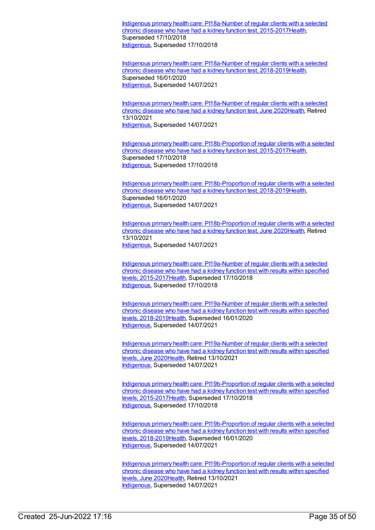Indigenous primary health care: PI18a-Number of regular clients with a selected chronic disease who have had a kidney function test, [2015-2017Health,](https://meteor.aihw.gov.au/content/686362) Superseded 17/10/2018 [Indigenous](https://meteor.aihw.gov.au/RegistrationAuthority/6), Superseded 17/10/2018

Indigenous primary health care: PI18a-Number of regular clients with a selected chronic disease who have had a kidney function test, [2018-2019](https://meteor.aihw.gov.au/content/687996)[Healt](https://meteor.aihw.gov.au/RegistrationAuthority/12)[h,](https://meteor.aihw.gov.au/content/687996) Superseded 16/01/2020 [Indigenous](https://meteor.aihw.gov.au/RegistrationAuthority/6), Superseded 14/07/2021

Indigenous primary health care: [PI18a-Number](https://meteor.aihw.gov.au/content/717338) of regular clients with a selected chronic disease who have had a kidney function test, June 2020[Health](https://meteor.aihw.gov.au/RegistrationAuthority/12), Retired 13/10/2021 [Indigenous](https://meteor.aihw.gov.au/RegistrationAuthority/6), Superseded 14/07/2021

Indigenous primary health care: [PI18b-Proportion](https://meteor.aihw.gov.au/content/686364) of regular clients with a selected chronic disease who have had a kidney function test, 2015-201[7Health](https://meteor.aihw.gov.au/RegistrationAuthority/12), Superseded 17/10/2018 [Indigenous](https://meteor.aihw.gov.au/RegistrationAuthority/6), Superseded 17/10/2018

Indigenous primary health care: [PI18b-Proportion](https://meteor.aihw.gov.au/content/687998) of regular clients with a selected chronic disease who have had a kidney function test, 2018-201[9Health](https://meteor.aihw.gov.au/RegistrationAuthority/12), Superseded 16/01/2020 [Indigenous](https://meteor.aihw.gov.au/RegistrationAuthority/6), Superseded 14/07/2021

Indigenous primary health care: [PI18b-Proportion](https://meteor.aihw.gov.au/content/717340) of regular clients with a selected chronic disease who have had a kidney function test, June 2020[Health](https://meteor.aihw.gov.au/RegistrationAuthority/12), Retired 13/10/2021 [Indigenous](https://meteor.aihw.gov.au/RegistrationAuthority/6), Superseded 14/07/2021

Indigenous primary health care: PI19a-Number of regular clients with a selected chronic disease who have had a kidney function test with results within specified levels, [2015-2017Health,](https://meteor.aihw.gov.au/content/686366) Superseded 17/10/2018 [Indigenous](https://meteor.aihw.gov.au/RegistrationAuthority/6), Superseded 17/10/2018

Indigenous primary health care: PI19a-Number of regular clients with a selected chronic disease who have had a kidney function test with results within specified levels, [2018-2019](https://meteor.aihw.gov.au/content/688000)[Health](https://meteor.aihw.gov.au/RegistrationAuthority/12)[,](https://meteor.aihw.gov.au/content/688000) Superseded 16/01/2020 [Indigenous](https://meteor.aihw.gov.au/RegistrationAuthority/6), Superseded 14/07/2021

Indigenous primary health care: [PI19a-Number](https://meteor.aihw.gov.au/content/717342) of regular clients with a selected chronic disease who have had a kidney function test with results within specified levels, June 202[0Health](https://meteor.aihw.gov.au/RegistrationAuthority/12), Retired 13/10/2021 [Indigenous](https://meteor.aihw.gov.au/RegistrationAuthority/6), Superseded 14/07/2021

Indigenous primary health care: [PI19b-Proportion](https://meteor.aihw.gov.au/content/686368) of regular clients with a selected chronic disease who have had a kidney function test with results within specified levels, 2015-201[7Health,](https://meteor.aihw.gov.au/RegistrationAuthority/12) Superseded 17/10/2018 [Indigenous](https://meteor.aihw.gov.au/RegistrationAuthority/6), Superseded 17/10/2018

Indigenous primary health care: [PI19b-Proportion](https://meteor.aihw.gov.au/content/688002) of regular clients with a selected chronic disease who have had a kidney function test with results within specified levels, 2018-201[9Health,](https://meteor.aihw.gov.au/RegistrationAuthority/12) Superseded 16/01/2020 [Indigenous](https://meteor.aihw.gov.au/RegistrationAuthority/6), Superseded 14/07/2021

Indigenous primary health care: [PI19b-Proportion](https://meteor.aihw.gov.au/content/717344) of regular clients with a selected chronic disease who have had a kidney function test with results within specified levels, June 202[0Health](https://meteor.aihw.gov.au/RegistrationAuthority/12), Retired 13/10/2021 [Indigenous](https://meteor.aihw.gov.au/RegistrationAuthority/6), Superseded 14/07/2021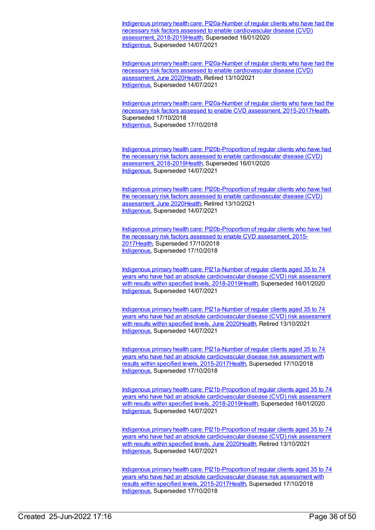Indigenous primary health care: PI20a-Number of regular clients who have had the necessary risk factors assessed to enable cardiovascular disease (CVD) assessment, [2018-2019Health,](https://meteor.aihw.gov.au/content/688004) Superseded 16/01/2020 [Indigenous](https://meteor.aihw.gov.au/RegistrationAuthority/6), Superseded 14/07/2021

Indigenous primary health care: [PI20a-Number](https://meteor.aihw.gov.au/content/717348) of regular clients who have had the necessary risk factors assessed to enable cardiovascular disease (CVD) assessment, June 202[0Health](https://meteor.aihw.gov.au/RegistrationAuthority/12), Retired 13/10/2021 [Indigenous](https://meteor.aihw.gov.au/RegistrationAuthority/6), Superseded 14/07/2021

Indigenous primary health care: PI20a-Number of regular clients who have had the necessary risk factors assessed to enable CVD assessment, [2015-2017Health,](https://meteor.aihw.gov.au/content/686370) Superseded 17/10/2018 [Indigenous](https://meteor.aihw.gov.au/RegistrationAuthority/6), Superseded 17/10/2018

Indigenous primary health care: [PI20b-Proportion](https://meteor.aihw.gov.au/content/688007) of regular clients who have had the necessary risk factors assessed to enable cardiovascular disease (CVD) assessment, 2018-2019[Health,](https://meteor.aihw.gov.au/RegistrationAuthority/12) Superseded 16/01/2020 [Indigenous](https://meteor.aihw.gov.au/RegistrationAuthority/6), Superseded 14/07/2021

Indigenous primary health care: [PI20b-Proportion](https://meteor.aihw.gov.au/content/717350) of regular clients who have had the necessary risk factors assessed to enable cardiovascular disease (CVD) assessment, June 202[0Health](https://meteor.aihw.gov.au/RegistrationAuthority/12), Retired 13/10/2021 [Indigenous](https://meteor.aihw.gov.au/RegistrationAuthority/6), Superseded 14/07/2021

Indigenous primary health care: [PI20b-Proportion](https://meteor.aihw.gov.au/content/686372) of regular clients who have had the necessary risk factors assessed to enable CVD assessment, 2015- 201[7Health](https://meteor.aihw.gov.au/RegistrationAuthority/12), Superseded 17/10/2018 [Indigenous](https://meteor.aihw.gov.au/RegistrationAuthority/6), Superseded 17/10/2018

Indigenous primary health care: [PI21a-Number](https://meteor.aihw.gov.au/content/688009) of regular clients aged 35 to 74 years who have had an absolute cardiovascular disease (CVD) risk assessment with results within specified levels, 2018-201[9Health](https://meteor.aihw.gov.au/RegistrationAuthority/12), Superseded 16/01/2020 [Indigenous](https://meteor.aihw.gov.au/RegistrationAuthority/6), Superseded 14/07/2021

Indigenous primary health care: [PI21a-Number](https://meteor.aihw.gov.au/content/717352) of regular clients aged 35 to 74 years who have had an absolute cardiovascular disease (CVD) risk assessment with results within specified levels, June 202[0Health](https://meteor.aihw.gov.au/RegistrationAuthority/12), Retired 13/10/2021 [Indigenous](https://meteor.aihw.gov.au/RegistrationAuthority/6), Superseded 14/07/2021

Indigenous primary health care: PI21a-Number of regular clients aged 35 to 74 years who have had an absolute cardiovascular disease risk assessment with results within specified levels, [2015-2017](https://meteor.aihw.gov.au/content/686374)[Healt](https://meteor.aihw.gov.au/RegistrationAuthority/12)[h,](https://meteor.aihw.gov.au/content/686374) Superseded 17/10/2018 [Indigenous](https://meteor.aihw.gov.au/RegistrationAuthority/6), Superseded 17/10/2018

Indigenous primary health care: [PI21b-Proportion](https://meteor.aihw.gov.au/content/688012) of regular clients aged 35 to 74 years who have had an absolute cardiovascular disease (CVD) risk assessment with results within specified levels, 2018-201[9Health](https://meteor.aihw.gov.au/RegistrationAuthority/12), Superseded 16/01/2020 [Indigenous](https://meteor.aihw.gov.au/RegistrationAuthority/6), Superseded 14/07/2021

Indigenous primary health care: [PI21b-Proportion](https://meteor.aihw.gov.au/content/717354) of regular clients aged 35 to 74 years who have had an absolute cardiovascular disease (CVD) risk assessment with results within specified levels, June 202[0Health](https://meteor.aihw.gov.au/RegistrationAuthority/12), Retired 13/10/2021 [Indigenous](https://meteor.aihw.gov.au/RegistrationAuthority/6), Superseded 14/07/2021

Indigenous primary health care: [PI21b-Proportion](https://meteor.aihw.gov.au/content/686376) of regular clients aged 35 to 74 years who have had an absolute cardiovascular disease risk assessment with results within specified levels, 2015-201[7Health](https://meteor.aihw.gov.au/RegistrationAuthority/12), Superseded 17/10/2018 [Indigenous](https://meteor.aihw.gov.au/RegistrationAuthority/6), Superseded 17/10/2018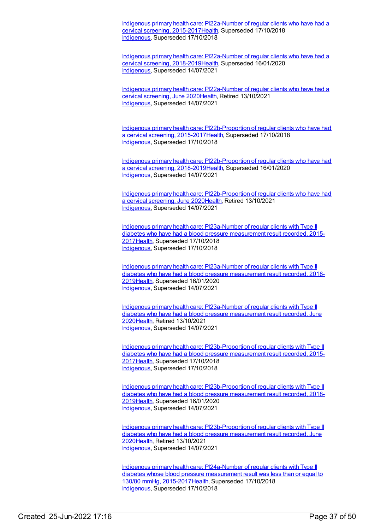Indigenous primary health care: PI22a-Number of regular clients who have had a cervical screening, [2015-2017Health,](https://meteor.aihw.gov.au/content/686323) Superseded 17/10/2018 [Indigenous](https://meteor.aihw.gov.au/RegistrationAuthority/6), Superseded 17/10/2018

Indigenous primary health care: PI22a-Number of regular clients who have had a cervical screening, [2018-2019Health,](https://meteor.aihw.gov.au/content/688014) Superseded 16/01/2020 [Indigenous](https://meteor.aihw.gov.au/RegistrationAuthority/6), Superseded 14/07/2021

Indigenous primary health care: [PI22a-Number](https://meteor.aihw.gov.au/content/717356) of regular clients who have had a cervical screening, June 202[0Health](https://meteor.aihw.gov.au/RegistrationAuthority/12), Retired 13/10/2021 [Indigenous](https://meteor.aihw.gov.au/RegistrationAuthority/6), Superseded 14/07/2021

Indigenous primary health care: [PI22b-Proportion](https://meteor.aihw.gov.au/content/686306) of regular clients who have had a cervical screening, 2015-2017[Health](https://meteor.aihw.gov.au/RegistrationAuthority/12), Superseded 17/10/2018 [Indigenous](https://meteor.aihw.gov.au/RegistrationAuthority/6), Superseded 17/10/2018

Indigenous primary health care: [PI22b-Proportion](https://meteor.aihw.gov.au/content/688016) of regular clients who have had a cervical screening, 2018-2019[Health](https://meteor.aihw.gov.au/RegistrationAuthority/12), Superseded 16/01/2020 [Indigenous](https://meteor.aihw.gov.au/RegistrationAuthority/6), Superseded 14/07/2021

Indigenous primary health care: [PI22b-Proportion](https://meteor.aihw.gov.au/content/717358) of regular clients who have had a cervical screening, June 2020[Health,](https://meteor.aihw.gov.au/RegistrationAuthority/12) Retired 13/10/2021 [Indigenous](https://meteor.aihw.gov.au/RegistrationAuthority/6), Superseded 14/07/2021

Indigenous primary health care: [PI23a-Number](https://meteor.aihw.gov.au/content/686379) of regular clients with Type II diabetes who have had a blood pressure measurement result recorded, 2015- 201[7Health](https://meteor.aihw.gov.au/RegistrationAuthority/12), Superseded 17/10/2018 [Indigenous](https://meteor.aihw.gov.au/RegistrationAuthority/6), Superseded 17/10/2018

Indigenous primary health care: [PI23a-Number](https://meteor.aihw.gov.au/content/688018) of regular clients with Type II diabetes who have had a blood pressure measurement result recorded, 2018- 201[9Health](https://meteor.aihw.gov.au/RegistrationAuthority/12), Superseded 16/01/2020 [Indigenous](https://meteor.aihw.gov.au/RegistrationAuthority/6), Superseded 14/07/2021

Indigenous primary health care: [PI23a-Number](https://meteor.aihw.gov.au/content/717360) of regular clients with Type II diabetes who have had a blood pressure measurement result recorded, June 202[0Health](https://meteor.aihw.gov.au/RegistrationAuthority/12), Retired 13/10/2021 [Indigenous](https://meteor.aihw.gov.au/RegistrationAuthority/6), Superseded 14/07/2021

Indigenous primary health care: [PI23b-Proportion](https://meteor.aihw.gov.au/content/686381) of regular clients with Type II diabetes who have had a blood pressure measurement result recorded, 2015- 201[7Health](https://meteor.aihw.gov.au/RegistrationAuthority/12), Superseded 17/10/2018 [Indigenous](https://meteor.aihw.gov.au/RegistrationAuthority/6), Superseded 17/10/2018

Indigenous primary health care: [PI23b-Proportion](https://meteor.aihw.gov.au/content/688020) of regular clients with Type II diabetes who have had a blood pressure measurement result recorded, 2018- 201[9Health](https://meteor.aihw.gov.au/RegistrationAuthority/12), Superseded 16/01/2020 [Indigenous](https://meteor.aihw.gov.au/RegistrationAuthority/6), Superseded 14/07/2021

Indigenous primary health care: [PI23b-Proportion](https://meteor.aihw.gov.au/content/717362) of regular clients with Type II diabetes who have had a blood pressure measurement result recorded, June 202[0Health](https://meteor.aihw.gov.au/RegistrationAuthority/12), Retired 13/10/2021 [Indigenous](https://meteor.aihw.gov.au/RegistrationAuthority/6), Superseded 14/07/2021

Indigenous primary health care: PI24a-Number of regular clients with Type II diabetes whose blood pressure measurement result was less than or equal to 130/80 mmHg, [2015-2017Health,](https://meteor.aihw.gov.au/content/686383) Superseded 17/10/2018 [Indigenous](https://meteor.aihw.gov.au/RegistrationAuthority/6), Superseded 17/10/2018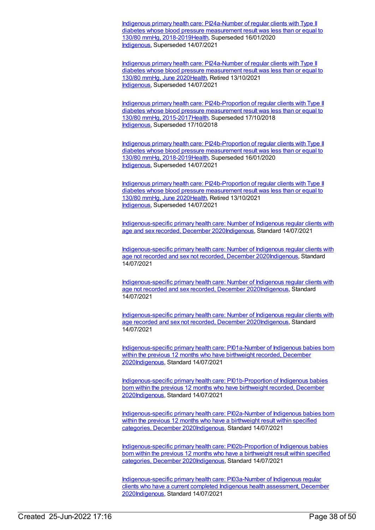Indigenous primary health care: PI24a-Number of regular clients with Type II diabetes whose blood pressure measurement result was less than or equal to 130/80 mmHg, [2018-2019Health,](https://meteor.aihw.gov.au/content/688022) Superseded 16/01/2020 [Indigenous](https://meteor.aihw.gov.au/RegistrationAuthority/6), Superseded 14/07/2021

Indigenous primary health care: [PI24a-Number](https://meteor.aihw.gov.au/content/717366) of regular clients with Type II diabetes whose blood pressure measurement result was less than or equal to 130/80 mmHg, June 202[0Health](https://meteor.aihw.gov.au/RegistrationAuthority/12), Retired 13/10/2021 [Indigenous](https://meteor.aihw.gov.au/RegistrationAuthority/6), Superseded 14/07/2021

Indigenous primary health care: [PI24b-Proportion](https://meteor.aihw.gov.au/content/686385) of regular clients with Type II diabetes whose blood pressure measurement result was less than or equal to 130/80 mmHg, 2015-201[7Health,](https://meteor.aihw.gov.au/RegistrationAuthority/12) Superseded 17/10/2018 [Indigenous](https://meteor.aihw.gov.au/RegistrationAuthority/6), Superseded 17/10/2018

Indigenous primary health care: [PI24b-Proportion](https://meteor.aihw.gov.au/content/688024) of regular clients with Type II diabetes whose blood pressure measurement result was less than or equal to 130/80 mmHg, 2018-201[9Health,](https://meteor.aihw.gov.au/RegistrationAuthority/12) Superseded 16/01/2020 [Indigenous](https://meteor.aihw.gov.au/RegistrationAuthority/6), Superseded 14/07/2021

Indigenous primary health care: [PI24b-Proportion](https://meteor.aihw.gov.au/content/717368) of regular clients with Type II diabetes whose blood pressure measurement result was less than or equal to 130/80 mmHg, June 202[0Health](https://meteor.aihw.gov.au/RegistrationAuthority/12), Retired 13/10/2021 [Indigenous](https://meteor.aihw.gov.au/RegistrationAuthority/6), Superseded 14/07/2021

[Indigenous-specific](https://meteor.aihw.gov.au/content/742530) primary health care: Number of Indigenous regular clients with age and sex recorded, December 202[0Indigenous,](https://meteor.aihw.gov.au/RegistrationAuthority/6) Standard 14/07/2021

[Indigenous-specific](https://meteor.aihw.gov.au/content/742533) primary health care: Number of Indigenous regular clients with age not recorded and sex not recorded, December 202[0Indigenous](https://meteor.aihw.gov.au/RegistrationAuthority/6), Standard 14/07/2021

[Indigenous-specific](https://meteor.aihw.gov.au/content/742536) primary health care: Number of Indigenous regular clients with age not recorded and sex recorded, December 202[0Indigenous](https://meteor.aihw.gov.au/RegistrationAuthority/6), Standard 14/07/2021

[Indigenous-specific](https://meteor.aihw.gov.au/content/742541) primary health care: Number of Indigenous regular clients with age recorded and sex not recorded, December 202[0Indigenous](https://meteor.aihw.gov.au/RegistrationAuthority/6), Standard 14/07/2021

[Indigenous-specific](https://meteor.aihw.gov.au/content/739294) primary health care: PI01a-Number of Indigenous babies born within the previous 12 months who have birthweight recorded, December 202[0Indigenous](https://meteor.aihw.gov.au/RegistrationAuthority/6), Standard 14/07/2021

[Indigenous-specific](https://meteor.aihw.gov.au/content/739299) primary health care: PI01b-Proportion of Indigenous babies born within the previous 12 months who have birthweight recorded, December 202[0Indigenous](https://meteor.aihw.gov.au/RegistrationAuthority/6), Standard 14/07/2021

[Indigenous-specific](https://meteor.aihw.gov.au/content/739305) primary health care: PI02a-Number of Indigenous babies born within the previous 12 months who have a birthweight result within specified categories, December 202[0Indigenous](https://meteor.aihw.gov.au/RegistrationAuthority/6), Standard 14/07/2021

[Indigenous-specific](https://meteor.aihw.gov.au/content/739308) primary health care: PI02b-Proportion of Indigenous babies born within the previous 12 months who have a birthweight result within specified categories, December 202[0Indigenous](https://meteor.aihw.gov.au/RegistrationAuthority/6), Standard 14/07/2021

[Indigenous-specific](https://meteor.aihw.gov.au/content/731791) primary health care: PI03a-Number of Indigenous regular clients who have a current completed Indigenous health assessment, December 202[0Indigenous](https://meteor.aihw.gov.au/RegistrationAuthority/6), Standard 14/07/2021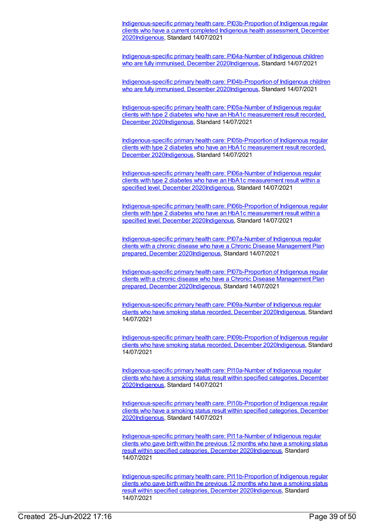[Indigenous-specific](https://meteor.aihw.gov.au/content/731804) primary health care: PI03b-Proportion of Indigenous regular clients who have a current completed Indigenous health assessment, December 202[0Indigenous](https://meteor.aihw.gov.au/RegistrationAuthority/6), Standard 14/07/2021

[Indigenous-specific](https://meteor.aihw.gov.au/content/739311) primary health care: PI04a-Number of Indigenous children who are fully immunised, December 202[0Indigenous](https://meteor.aihw.gov.au/RegistrationAuthority/6), Standard 14/07/2021

[Indigenous-specific](https://meteor.aihw.gov.au/content/739342) primary health care: PI04b-Proportion of Indigenous children who are fully immunised, December 202[0Indigenous](https://meteor.aihw.gov.au/RegistrationAuthority/6), Standard 14/07/2021

[Indigenous-specific](https://meteor.aihw.gov.au/content/739345) primary health care: PI05a-Number of Indigenous regular clients with type 2 diabetes who have an HbA1c measurement result recorded, December 202[0Indigenous,](https://meteor.aihw.gov.au/RegistrationAuthority/6) Standard 14/07/2021

[Indigenous-specific](https://meteor.aihw.gov.au/content/739347) primary health care: PI05b-Proportion of Indigenous regular clients with type 2 diabetes who have an HbA1c measurement result recorded, December 202[0Indigenous,](https://meteor.aihw.gov.au/RegistrationAuthority/6) Standard 14/07/2021

[Indigenous-specific](https://meteor.aihw.gov.au/content/739351) primary health care: PI06a-Number of Indigenous regular clients with type 2 diabetes who have an HbA1c measurement result within a specified level, December 202[0Indigenous](https://meteor.aihw.gov.au/RegistrationAuthority/6), Standard 14/07/2021

[Indigenous-specific](https://meteor.aihw.gov.au/content/739353) primary health care: PI06b-Proportion of Indigenous regular clients with type 2 diabetes who have an HbA1c measurement result within a specified level, December 202[0Indigenous](https://meteor.aihw.gov.au/RegistrationAuthority/6), Standard 14/07/2021

[Indigenous-specific](https://meteor.aihw.gov.au/content/731823) primary health care: PI07a-Number of Indigenous regular clients with a chronic disease who have a Chronic Disease Management Plan prepared, December 202[0Indigenous](https://meteor.aihw.gov.au/RegistrationAuthority/6), Standard 14/07/2021

[Indigenous-specific](https://meteor.aihw.gov.au/content/731846) primary health care: PI07b-Proportion of Indigenous regular clients with a chronic disease who have a Chronic Disease Management Plan prepared, December 202[0Indigenous](https://meteor.aihw.gov.au/RegistrationAuthority/6), Standard 14/07/2021

[Indigenous-specific](https://meteor.aihw.gov.au/content/739361) primary health care: PI09a-Number of Indigenous regular clients who have smoking status recorded, December 202[0Indigenous](https://meteor.aihw.gov.au/RegistrationAuthority/6), Standard 14/07/2021

[Indigenous-specific](https://meteor.aihw.gov.au/content/739363) primary health care: PI09b-Proportion of Indigenous regular clients who have smoking status recorded, December 202[0Indigenous](https://meteor.aihw.gov.au/RegistrationAuthority/6), Standard 14/07/2021

[Indigenous-specific](https://meteor.aihw.gov.au/content/739370) primary health care: PI10a-Number of Indigenous regular clients who have a smoking status result within specified categories, December 202[0Indigenous](https://meteor.aihw.gov.au/RegistrationAuthority/6), Standard 14/07/2021

[Indigenous-specific](https://meteor.aihw.gov.au/content/739372) primary health care: PI10b-Proportion of Indigenous regular clients who have a smoking status result within specified categories, December 202[0Indigenous](https://meteor.aihw.gov.au/RegistrationAuthority/6), Standard 14/07/2021

[Indigenous-specific](https://meteor.aihw.gov.au/content/739375) primary health care: PI11a-Number of Indigenous regular clients who gave birth within the previous 12 months who have a smoking status result within specified categories, December 2020[Indigenous](https://meteor.aihw.gov.au/RegistrationAuthority/6), Standard 14/07/2021

[Indigenous-specific](https://meteor.aihw.gov.au/content/739380) primary health care: PI11b-Proportion of Indigenous regular clients who gave birth within the previous 12 months who have a smoking status result within specified categories, December 2020[Indigenous](https://meteor.aihw.gov.au/RegistrationAuthority/6), Standard 14/07/2021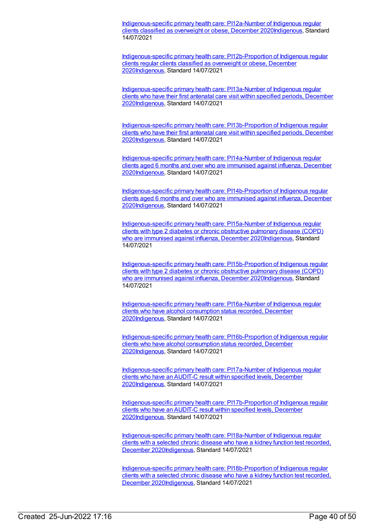[Indigenous-specific](https://meteor.aihw.gov.au/content/739384) primary health care: PI12a-Number of Indigenous regular clients classified as overweight or obese, December 202[0Indigenous](https://meteor.aihw.gov.au/RegistrationAuthority/6), Standard 14/07/2021

[Indigenous-specific](https://meteor.aihw.gov.au/content/739386) primary health care: PI12b-Proportion of Indigenous regular clients regular clients classified as overweight or obese, December 202[0Indigenous](https://meteor.aihw.gov.au/RegistrationAuthority/6), Standard 14/07/2021

[Indigenous-specific](https://meteor.aihw.gov.au/content/739389) primary health care: PI13a-Number of Indigenous regular clients who have their first antenatal care visit within specified periods, December 202[0Indigenous](https://meteor.aihw.gov.au/RegistrationAuthority/6), Standard 14/07/2021

[Indigenous-specific](https://meteor.aihw.gov.au/content/739391) primary health care: PI13b-Proportion of Indigenous regular clients who have their first antenatal care visit within specified periods, December 202[0Indigenous](https://meteor.aihw.gov.au/RegistrationAuthority/6), Standard 14/07/2021

[Indigenous-specific](https://meteor.aihw.gov.au/content/731851) primary health care: PI14a-Number of Indigenous regular clients aged 6 months and over who are immunised against influenza, December 202[0Indigenous](https://meteor.aihw.gov.au/RegistrationAuthority/6), Standard 14/07/2021

[Indigenous-specific](https://meteor.aihw.gov.au/content/731856) primary health care: PI14b-Proportion of Indigenous regular clients aged 6 months and over who are immunised against influenza, December 202[0Indigenous](https://meteor.aihw.gov.au/RegistrationAuthority/6), Standard 14/07/2021

[Indigenous-specific](https://meteor.aihw.gov.au/content/739397) primary health care: PI15a-Number of Indigenous regular clients with type 2 diabetes or chronic obstructive pulmonary disease (COPD) who are immunised against influenza, December 2020 Indigenous, Standard 14/07/2021

[Indigenous-specific](https://meteor.aihw.gov.au/content/739399) primary health care: PI15b-Proportion of Indigenous regular clients with type 2 diabetes or chronic obstructive pulmonary disease (COPD) who are immunised against influenza, December 2020 Indigenous, Standard 14/07/2021

[Indigenous-specific](https://meteor.aihw.gov.au/content/739402) primary health care: PI16a-Number of Indigenous regular clients who have alcohol consumption status recorded, December 202[0Indigenous](https://meteor.aihw.gov.au/RegistrationAuthority/6), Standard 14/07/2021

[Indigenous-specific](https://meteor.aihw.gov.au/content/739405) primary health care: PI16b-Proportion of Indigenous regular clients who have alcohol consumption status recorded, December 202[0Indigenous](https://meteor.aihw.gov.au/RegistrationAuthority/6), Standard 14/07/2021

[Indigenous-specific](https://meteor.aihw.gov.au/content/739423) primary health care: PI17a-Number of Indigenous regular clients who have an AUDIT-C result within specified levels, December 202[0Indigenous](https://meteor.aihw.gov.au/RegistrationAuthority/6), Standard 14/07/2021

[Indigenous-specific](https://meteor.aihw.gov.au/content/739426) primary health care: PI17b-Proportion of Indigenous regular clients who have an AUDIT-C result within specified levels, December 202[0Indigenous](https://meteor.aihw.gov.au/RegistrationAuthority/6), Standard 14/07/2021

[Indigenous-specific](https://meteor.aihw.gov.au/content/739436) primary health care: PI18a-Number of Indigenous regular clients with a selected chronic disease who have a kidney function test recorded, December 202[0Indigenous,](https://meteor.aihw.gov.au/RegistrationAuthority/6) Standard 14/07/2021

[Indigenous-specific](https://meteor.aihw.gov.au/content/739438) primary health care: PI18b-Proportion of Indigenous regular clients with a selected chronic disease who have a kidney function test recorded, December 202[0Indigenous,](https://meteor.aihw.gov.au/RegistrationAuthority/6) Standard 14/07/2021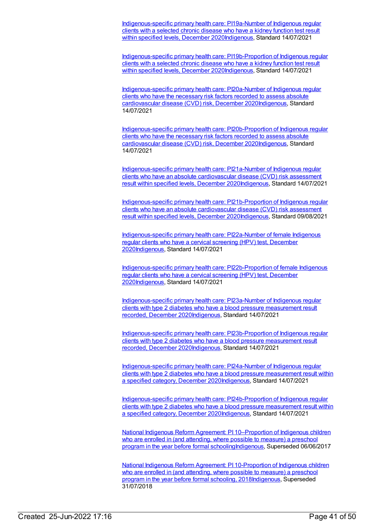[Indigenous-specific](https://meteor.aihw.gov.au/content/739450) primary health care: PI19a-Number of Indigenous regular clients with a selected chronic disease who have a kidney function test result within specified levels, December 202[0Indigenous](https://meteor.aihw.gov.au/RegistrationAuthority/6), Standard 14/07/2021

[Indigenous-specific](https://meteor.aihw.gov.au/content/739454) primary health care: PI19b-Proportion of Indigenous regular clients with a selected chronic disease who have a kidney function test result within specified levels, December 202[0Indigenous](https://meteor.aihw.gov.au/RegistrationAuthority/6), Standard 14/07/2021

[Indigenous-specific](https://meteor.aihw.gov.au/content/739463) primary health care: PI20a-Number of Indigenous regular clients who have the necessary risk factors recorded to assess absolute cardiovascular disease (CVD) risk, December 202[0Indigenous](https://meteor.aihw.gov.au/RegistrationAuthority/6), Standard 14/07/2021

[Indigenous-specific](https://meteor.aihw.gov.au/content/739465) primary health care: PI20b-Proportion of Indigenous regular clients who have the necessary risk factors recorded to assess absolute cardiovascular disease (CVD) risk, December 202[0Indigenous](https://meteor.aihw.gov.au/RegistrationAuthority/6), Standard 14/07/2021

[Indigenous-specific](https://meteor.aihw.gov.au/content/739468) primary health care: PI21a-Number of Indigenous regular clients who have an absolute cardiovascular disease (CVD) risk assessment result within specified levels, December 2020[Indigenous](https://meteor.aihw.gov.au/RegistrationAuthority/6), Standard 14/07/2021

[Indigenous-specific](https://meteor.aihw.gov.au/content/739470) primary health care: PI21b-Proportion of Indigenous regular clients who have an absolute cardiovascular disease (CVD) risk assessment result within specified levels, December 2020[Indigenous](https://meteor.aihw.gov.au/RegistrationAuthority/6), Standard 09/08/2021

[Indigenous-specific](https://meteor.aihw.gov.au/content/731858) primary health care: PI22a-Number of female Indigenous regular clients who have a cervical screening (HPV) test, December 202[0Indigenous](https://meteor.aihw.gov.au/RegistrationAuthority/6), Standard 14/07/2021

[Indigenous-specific](https://meteor.aihw.gov.au/content/731863) primary health care: PI22b-Proportion of female Indigenous regular clients who have a cervical screening (HPV) test, December 202[0Indigenous](https://meteor.aihw.gov.au/RegistrationAuthority/6), Standard 14/07/2021

[Indigenous-specific](https://meteor.aihw.gov.au/content/739474) primary health care: PI23a-Number of Indigenous regular clients with type 2 diabetes who have a blood pressure measurement result recorded, December 202[0Indigenous](https://meteor.aihw.gov.au/RegistrationAuthority/6), Standard 14/07/2021

[Indigenous-specific](https://meteor.aihw.gov.au/content/739478) primary health care: PI23b-Proportion of Indigenous regular clients with type 2 diabetes who have a blood pressure measurement result recorded, December 202[0Indigenous](https://meteor.aihw.gov.au/RegistrationAuthority/6), Standard 14/07/2021

[Indigenous-specific](https://meteor.aihw.gov.au/content/739481) primary health care: PI24a-Number of Indigenous regular clients with type 2 diabetes who have a blood pressure measurement result within a specified category, December 2020[Indigenous](https://meteor.aihw.gov.au/RegistrationAuthority/6), Standard 14/07/2021

[Indigenous-specific](https://meteor.aihw.gov.au/content/739483) primary health care: PI24b-Proportion of Indigenous regular clients with type 2 diabetes who have a blood pressure measurement result within a specified category, December 2020[Indigenous](https://meteor.aihw.gov.au/RegistrationAuthority/6), Standard 14/07/2021

National Indigenous Reform Agreement: PI 10-Proportion of Indigenous children who are enrolled in (and attending, where possible to measure) a preschool program in the year before formal [schooling](https://meteor.aihw.gov.au/content/663195)[Indigenou](https://meteor.aihw.gov.au/RegistrationAuthority/6)[s,](https://meteor.aihw.gov.au/content/663195) Superseded 06/06/2017

National Indigenous Reform Agreement: PI 10-Proportion of Indigenous children who are enrolled in (and attending, where possible to measure) a preschool program in the year before formal schooling, [2018Indigenous,](https://meteor.aihw.gov.au/content/668641) Superseded 31/07/2018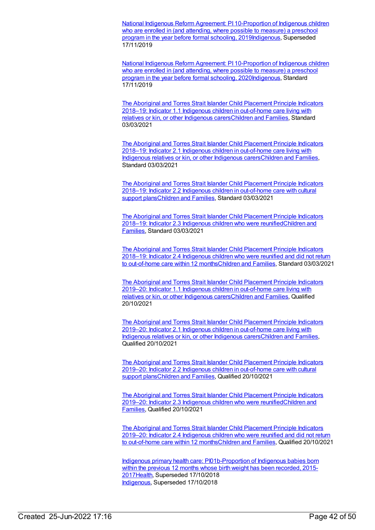National Indigenous Reform Agreement: PI 10-Proportion of Indigenous children who are enrolled in (and attending, where possible to measure) a preschool program in the year before formal schooling, [2019Indigenous,](https://meteor.aihw.gov.au/content/699460) Superseded 17/11/2019

National Indigenous Reform Agreement: PI 10-Proportion of Indigenous children who are enrolled in (and attending, where possible to measure) a preschool program in the year before formal schooling, 2020 Indigenous, Standard 17/11/2019

The Aboriginal and Torres Strait Islander Child Placement Principle Indicators 2018–19: Indicator 1.1 Indigenous children in out-of-home care living with relatives or kin, or other Indigenous [carersChildren](https://meteor.aihw.gov.au/content/732691) and [Families](https://meteor.aihw.gov.au/RegistrationAuthority/17), Standard 03/03/2021

The Aboriginal and Torres Strait Islander Child Placement Principle Indicators 2018–19: Indicator 2.1 Indigenous children in out-of-home care living with Indigenous relatives or kin, or other Indigenous [carersChildren](https://meteor.aihw.gov.au/content/732697) and Families, Standard 03/03/2021

The Aboriginal and Torres Strait Islander Child Placement Principle Indicators 2018–19: Indicator 2.2 Indigenous children in out-of-home care with cultural support [plansChildren](https://meteor.aihw.gov.au/content/732707) and Families, Standard 03/03/2021

The Aboriginal and Torres Strait Islander Child Placement Principle Indicators 2018–19: Indicator 2.3 Indigenous children who were [reunifiedChildren](https://meteor.aihw.gov.au/RegistrationAuthority/17) and Families, Standard 03/03/2021

The Aboriginal and Torres Strait Islander Child Placement Principle Indicators 2018–19: Indicator 2.4 Indigenous children who were reunified and did not return to out-of-home care within 12 [monthsChildren](https://meteor.aihw.gov.au/content/732715) and Families, Standard 03/03/2021

The Aboriginal and Torres Strait Islander Child Placement Principle Indicators 2019–20: Indicator 1.1 Indigenous children in out-of-home care living with relatives or kin, or other Indigenous [carersChildren](https://meteor.aihw.gov.au/content/749970) and [Families](https://meteor.aihw.gov.au/RegistrationAuthority/17), Qualified 20/10/2021

The Aboriginal and Torres Strait Islander Child Placement Principle Indicators 2019–20: Indicator 2.1 Indigenous children in [out-of-home](https://meteor.aihw.gov.au/content/749972) care living with Indigenous relatives or kin, or other Indigenous carer[sChildren](https://meteor.aihw.gov.au/RegistrationAuthority/17) and Families, Qualified 20/10/2021

The Aboriginal and Torres Strait Islander Child Placement Principle Indicators 2019–20: Indicator 2.2 Indigenous children in [out-of-home](https://meteor.aihw.gov.au/content/749974) care with cultural support plans[Children](https://meteor.aihw.gov.au/RegistrationAuthority/17) and Families, Qualified 20/10/2021

The Aboriginal and Torres Strait Islander Child Placement Principle Indicators 2019–20: Indicator 2.3 Indigenous children who were [reunifiedChildren](https://meteor.aihw.gov.au/RegistrationAuthority/17) and Families, Qualified 20/10/2021

The Aboriginal and Torres Strait Islander Child Placement Principle Indicators 2019–20: Indicator 2.4 Indigenous children who were reunified and did not return to out-of-home care within 12 [monthsChildren](https://meteor.aihw.gov.au/content/749993) and Families, Qualified 20/10/2021

Indigenous primary health care: [PI01b-Proportion](https://meteor.aihw.gov.au/content/686344) of Indigenous babies born within the previous 12 months whose birth weight has been recorded, 2015- 201[7Health](https://meteor.aihw.gov.au/RegistrationAuthority/12), Superseded 17/10/2018 [Indigenous](https://meteor.aihw.gov.au/RegistrationAuthority/6), Superseded 17/10/2018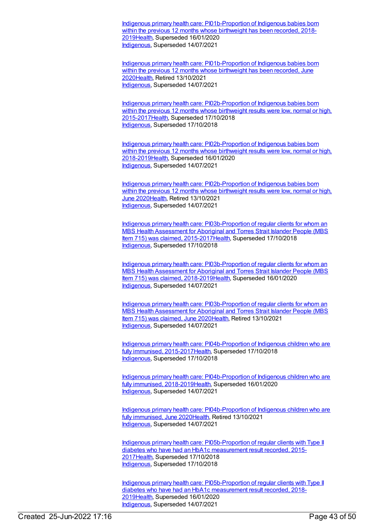Indigenous primary health care: [PI01b-Proportion](https://meteor.aihw.gov.au/content/687918) of Indigenous babies born within the previous 12 months whose birthweight has been recorded, 2018-201[9Health](https://meteor.aihw.gov.au/RegistrationAuthority/12), Superseded 16/01/2020 [Indigenous](https://meteor.aihw.gov.au/RegistrationAuthority/6), Superseded 14/07/2021

Indigenous primary health care: [PI01b-Proportion](https://meteor.aihw.gov.au/content/717266) of Indigenous babies born within the previous 12 months whose birthweight has been recorded, June 202[0Health](https://meteor.aihw.gov.au/RegistrationAuthority/12), Retired 13/10/2021 [Indigenous](https://meteor.aihw.gov.au/RegistrationAuthority/6), Superseded 14/07/2021

Indigenous primary health care: [PI02b-Proportion](https://meteor.aihw.gov.au/content/686348) of Indigenous babies born within the previous 12 months whose birthweight results were low, normal or high, 2015-201[7Health](https://meteor.aihw.gov.au/RegistrationAuthority/12), Superseded 17/10/2018 [Indigenous](https://meteor.aihw.gov.au/RegistrationAuthority/6), Superseded 17/10/2018

Indigenous primary health care: [PI02b-Proportion](https://meteor.aihw.gov.au/content/687923) of Indigenous babies born within the previous 12 months whose birthweight results were low, normal or high, 2018-201[9Health](https://meteor.aihw.gov.au/RegistrationAuthority/12), Superseded 16/01/2020 [Indigenous](https://meteor.aihw.gov.au/RegistrationAuthority/6), Superseded 14/07/2021

Indigenous primary health care: [PI02b-Proportion](https://meteor.aihw.gov.au/content/717271) of Indigenous babies born within the previous 12 months whose birthweight results were low, normal or high, June 2020[Health](https://meteor.aihw.gov.au/RegistrationAuthority/12), Retired 13/10/2021 [Indigenous](https://meteor.aihw.gov.au/RegistrationAuthority/6), Superseded 14/07/2021

Indigenous primary health care: [PI03b-Proportion](https://meteor.aihw.gov.au/content/686405) of regular clients for whom an MBS Health Assessment for Aboriginal and Torres Strait Islander People (MBS Item 715) was claimed, 2015-201[7Health](https://meteor.aihw.gov.au/RegistrationAuthority/12), Superseded 17/10/2018 [Indigenous](https://meteor.aihw.gov.au/RegistrationAuthority/6), Superseded 17/10/2018

Indigenous primary health care: [PI03b-Proportion](https://meteor.aihw.gov.au/content/687927) of regular clients for whom an MBS Health Assessment for Aboriginal and Torres Strait Islander People (MBS Item 715) was claimed, 2018-201[9Health](https://meteor.aihw.gov.au/RegistrationAuthority/12), Superseded 16/01/2020 [Indigenous](https://meteor.aihw.gov.au/RegistrationAuthority/6), Superseded 14/07/2021

Indigenous primary health care: [PI03b-Proportion](https://meteor.aihw.gov.au/content/717275) of regular clients for whom an MBS Health Assessment for Aboriginal and Torres Strait Islander People (MBS Item 715) was claimed, June 202[0Health](https://meteor.aihw.gov.au/RegistrationAuthority/12), Retired 13/10/2021 [Indigenous](https://meteor.aihw.gov.au/RegistrationAuthority/6), Superseded 14/07/2021

Indigenous primary health care: [PI04b-Proportion](https://meteor.aihw.gov.au/content/686416) of Indigenous children who are fully immunised, 2015-201[7Health](https://meteor.aihw.gov.au/RegistrationAuthority/12), Superseded 17/10/2018 [Indigenous](https://meteor.aihw.gov.au/RegistrationAuthority/6), Superseded 17/10/2018

Indigenous primary health care: [PI04b-Proportion](https://meteor.aihw.gov.au/content/687937) of Indigenous children who are fully immunised, 2018-201[9Health](https://meteor.aihw.gov.au/RegistrationAuthority/12), Superseded 16/01/2020 [Indigenous](https://meteor.aihw.gov.au/RegistrationAuthority/6), Superseded 14/07/2021

Indigenous primary health care: [PI04b-Proportion](https://meteor.aihw.gov.au/content/717279) of Indigenous children who are fully immunised, June 202[0Health](https://meteor.aihw.gov.au/RegistrationAuthority/12), Retired 13/10/2021 [Indigenous](https://meteor.aihw.gov.au/RegistrationAuthority/6), Superseded 14/07/2021

Indigenous primary health care: [PI05b-Proportion](https://meteor.aihw.gov.au/content/686352) of regular clients with Type II diabetes who have had an HbA1c measurement result recorded, 2015- 201[7Health](https://meteor.aihw.gov.au/RegistrationAuthority/12), Superseded 17/10/2018 [Indigenous](https://meteor.aihw.gov.au/RegistrationAuthority/6), Superseded 17/10/2018

Indigenous primary health care: [PI05b-Proportion](https://meteor.aihw.gov.au/content/687941) of regular clients with Type II diabetes who have had an HbA1c measurement result recorded, 2018- 201[9Health](https://meteor.aihw.gov.au/RegistrationAuthority/12), Superseded 16/01/2020 [Indigenous](https://meteor.aihw.gov.au/RegistrationAuthority/6), Superseded 14/07/2021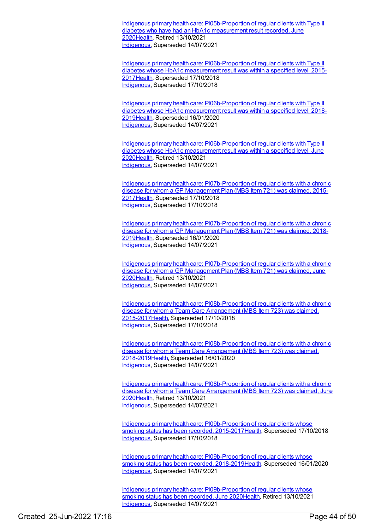Indigenous primary health care: [PI05b-Proportion](https://meteor.aihw.gov.au/content/717285) of regular clients with Type II diabetes who have had an HbA1c measurement result recorded, June 202[0Health](https://meteor.aihw.gov.au/RegistrationAuthority/12), Retired 13/10/2021 [Indigenous](https://meteor.aihw.gov.au/RegistrationAuthority/6), Superseded 14/07/2021

Indigenous primary health care: [PI06b-Proportion](https://meteor.aihw.gov.au/content/686356) of regular clients with Type II diabetes whose HbA1c measurement result was within a specified level, 2015- 201[7Health](https://meteor.aihw.gov.au/RegistrationAuthority/12), Superseded 17/10/2018 [Indigenous](https://meteor.aihw.gov.au/RegistrationAuthority/6), Superseded 17/10/2018

Indigenous primary health care: [PI06b-Proportion](https://meteor.aihw.gov.au/content/687945) of regular clients with Type II diabetes whose HbA1c measurement result was within a specified level, 2018- 201[9Health](https://meteor.aihw.gov.au/RegistrationAuthority/12), Superseded 16/01/2020 [Indigenous](https://meteor.aihw.gov.au/RegistrationAuthority/6), Superseded 14/07/2021

Indigenous primary health care: [PI06b-Proportion](https://meteor.aihw.gov.au/content/717289) of regular clients with Type II diabetes whose HbA1c measurement result was within a specified level, June 202[0Health](https://meteor.aihw.gov.au/RegistrationAuthority/12), Retired 13/10/2021 [Indigenous](https://meteor.aihw.gov.au/RegistrationAuthority/6), Superseded 14/07/2021

Indigenous primary health care: [PI07b-Proportion](https://meteor.aihw.gov.au/content/686438) of regular clients with a chronic disease for whom a GP Management Plan (MBS Item 721) was claimed, 2015- 201[7Health](https://meteor.aihw.gov.au/RegistrationAuthority/12), Superseded 17/10/2018 [Indigenous](https://meteor.aihw.gov.au/RegistrationAuthority/6), Superseded 17/10/2018

Indigenous primary health care: [PI07b-Proportion](https://meteor.aihw.gov.au/content/687950) of regular clients with a chronic disease for whom a GP Management Plan (MBS Item 721) was claimed, 2018- 201[9Health](https://meteor.aihw.gov.au/RegistrationAuthority/12), Superseded 16/01/2020 [Indigenous](https://meteor.aihw.gov.au/RegistrationAuthority/6), Superseded 14/07/2021

Indigenous primary health care: [PI07b-Proportion](https://meteor.aihw.gov.au/content/717294) of regular clients with a chronic disease for whom a GP Management Plan (MBS Item 721) was claimed, June 202[0Health](https://meteor.aihw.gov.au/RegistrationAuthority/12), Retired 13/10/2021 [Indigenous](https://meteor.aihw.gov.au/RegistrationAuthority/6), Superseded 14/07/2021

Indigenous primary health care: [PI08b-Proportion](https://meteor.aihw.gov.au/content/686445) of regular clients with a chronic disease for whom a Team Care Arrangement (MBS Item 723) was claimed, 2015-201[7Health](https://meteor.aihw.gov.au/RegistrationAuthority/12), Superseded 17/10/2018 [Indigenous](https://meteor.aihw.gov.au/RegistrationAuthority/6), Superseded 17/10/2018

Indigenous primary health care: [PI08b-Proportion](https://meteor.aihw.gov.au/content/687954) of regular clients with a chronic disease for whom a Team Care Arrangement (MBS Item 723) was claimed, 2018-201[9Health](https://meteor.aihw.gov.au/RegistrationAuthority/12), Superseded 16/01/2020 [Indigenous](https://meteor.aihw.gov.au/RegistrationAuthority/6), Superseded 14/07/2021

Indigenous primary health care: [PI08b-Proportion](https://meteor.aihw.gov.au/content/717298) of regular clients with a chronic disease for whom a Team Care Arrangement (MBS Item 723) was claimed, June 202[0Health](https://meteor.aihw.gov.au/RegistrationAuthority/12), Retired 13/10/2021 [Indigenous](https://meteor.aihw.gov.au/RegistrationAuthority/6), Superseded 14/07/2021

Indigenous primary health care: [PI09b-Proportion](https://meteor.aihw.gov.au/content/686451) of regular clients whose smoking status has been recorded, 2015-201[7Health](https://meteor.aihw.gov.au/RegistrationAuthority/12), Superseded 17/10/2018 [Indigenous](https://meteor.aihw.gov.au/RegistrationAuthority/6), Superseded 17/10/2018

Indigenous primary health care: [PI09b-Proportion](https://meteor.aihw.gov.au/content/687959) of regular clients whose smoking status has been recorded, 2018-201[9Health](https://meteor.aihw.gov.au/RegistrationAuthority/12), Superseded 16/01/2020 [Indigenous](https://meteor.aihw.gov.au/RegistrationAuthority/6), Superseded 14/07/2021

Indigenous primary health care: [PI09b-Proportion](https://meteor.aihw.gov.au/content/717302) of regular clients whose smoking status has been recorded, June 202[0Health](https://meteor.aihw.gov.au/RegistrationAuthority/12), Retired 13/10/2021 [Indigenous](https://meteor.aihw.gov.au/RegistrationAuthority/6), Superseded 14/07/2021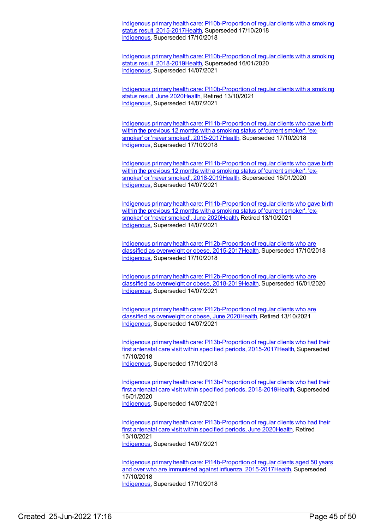Indigenous primary health care: [PI10b-Proportion](https://meteor.aihw.gov.au/content/686456) of regular clients with a smoking status result, 2015-2017 Health, Superseded 17/10/2018 [Indigenous](https://meteor.aihw.gov.au/RegistrationAuthority/6), Superseded 17/10/2018

Indigenous primary health care: [PI10b-Proportion](https://meteor.aihw.gov.au/content/687963) of regular clients with a smoking status result, 2018-201[9Health](https://meteor.aihw.gov.au/RegistrationAuthority/12), Superseded 16/01/2020 [Indigenous](https://meteor.aihw.gov.au/RegistrationAuthority/6), Superseded 14/07/2021

Indigenous primary health care: [PI10b-Proportion](https://meteor.aihw.gov.au/content/717306) of regular clients with a smoking status result, June 2020[Health](https://meteor.aihw.gov.au/RegistrationAuthority/12), Retired 13/10/2021 [Indigenous](https://meteor.aihw.gov.au/RegistrationAuthority/6), Superseded 14/07/2021

Indigenous primary health care: [PI11b-Proportion](https://meteor.aihw.gov.au/content/686465) of regular clients who gave birth within the previous 12 months with a smoking status of 'current smoker', 'exsmoker' or 'never smoked', 2015-201[7Health](https://meteor.aihw.gov.au/RegistrationAuthority/12), Superseded 17/10/2018 [Indigenous](https://meteor.aihw.gov.au/RegistrationAuthority/6), Superseded 17/10/2018

Indigenous primary health care: [PI11b-Proportion](https://meteor.aihw.gov.au/content/687968) of regular clients who gave birth within the previous 12 months with a smoking status of 'current smoker', 'exsmoker' or 'never smoked', 2018-201[9Health](https://meteor.aihw.gov.au/RegistrationAuthority/12), Superseded 16/01/2020 [Indigenous](https://meteor.aihw.gov.au/RegistrationAuthority/6), Superseded 14/07/2021

Indigenous primary health care: [PI11b-Proportion](https://meteor.aihw.gov.au/content/717310) of regular clients who gave birth within the previous 12 months with a smoking status of 'current smoker', 'exsmoker' or 'never smoked', June 202[0Health](https://meteor.aihw.gov.au/RegistrationAuthority/12), Retired 13/10/2021 [Indigenous](https://meteor.aihw.gov.au/RegistrationAuthority/6), Superseded 14/07/2021

Indigenous primary health care: [PI12b-Proportion](https://meteor.aihw.gov.au/content/686470) of regular clients who are classified as overweight or obese, 2015-201[7Health](https://meteor.aihw.gov.au/RegistrationAuthority/12), Superseded 17/10/2018 [Indigenous](https://meteor.aihw.gov.au/RegistrationAuthority/6), Superseded 17/10/2018

Indigenous primary health care: [PI12b-Proportion](https://meteor.aihw.gov.au/content/687972) of regular clients who are classified as overweight or obese, 2018-201[9Health](https://meteor.aihw.gov.au/RegistrationAuthority/12), Superseded 16/01/2020 [Indigenous](https://meteor.aihw.gov.au/RegistrationAuthority/6), Superseded 14/07/2021

Indigenous primary health care: [PI12b-Proportion](https://meteor.aihw.gov.au/content/717314) of regular clients who are classified as overweight or obese, June 2020[Health](https://meteor.aihw.gov.au/RegistrationAuthority/12), Retired 13/10/2021 [Indigenous](https://meteor.aihw.gov.au/RegistrationAuthority/6), Superseded 14/07/2021

Indigenous primary health care: [PI13b-Proportion](https://meteor.aihw.gov.au/content/686477) of regular clients who had their first antenatal care visit within specified periods, 2015-201[7Health](https://meteor.aihw.gov.au/RegistrationAuthority/12), Superseded 17/10/2018 [Indigenous](https://meteor.aihw.gov.au/RegistrationAuthority/6), Superseded 17/10/2018

Indigenous primary health care: [PI13b-Proportion](https://meteor.aihw.gov.au/content/687976) of regular clients who had their first antenatal care visit within specified periods, 2018-201[9Health](https://meteor.aihw.gov.au/RegistrationAuthority/12), Superseded 16/01/2020 [Indigenous](https://meteor.aihw.gov.au/RegistrationAuthority/6), Superseded 14/07/2021

Indigenous primary health care: [PI13b-Proportion](https://meteor.aihw.gov.au/content/717318) of regular clients who had their first antenatal care visit within specified periods, June 2020 Health, Retired 13/10/2021 [Indigenous](https://meteor.aihw.gov.au/RegistrationAuthority/6), Superseded 14/07/2021

Indigenous primary health care: [PI14b-Proportion](https://meteor.aihw.gov.au/content/686484) of regular clients aged 50 years and over who are immunised against influenza, 2015-2017[Health](https://meteor.aihw.gov.au/RegistrationAuthority/12), Superseded 17/10/2018 [Indigenous](https://meteor.aihw.gov.au/RegistrationAuthority/6), Superseded 17/10/2018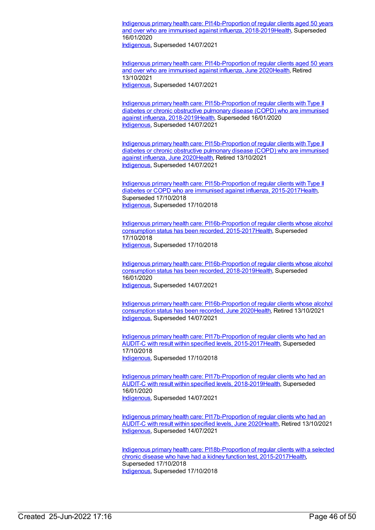Indigenous primary health care: [PI14b-Proportion](https://meteor.aihw.gov.au/content/687980) of regular clients aged 50 years and over who are immunised against influenza, 2018-2019[Health](https://meteor.aihw.gov.au/RegistrationAuthority/12), Superseded 16/01/2020

[Indigenous](https://meteor.aihw.gov.au/RegistrationAuthority/6), Superseded 14/07/2021

Indigenous primary health care: [PI14b-Proportion](https://meteor.aihw.gov.au/content/717322) of regular clients aged 50 years and over who are immunised against influenza, June 2020[Health](https://meteor.aihw.gov.au/RegistrationAuthority/12), Retired 13/10/2021 [Indigenous](https://meteor.aihw.gov.au/RegistrationAuthority/6), Superseded 14/07/2021

Indigenous primary health care: [PI15b-Proportion](https://meteor.aihw.gov.au/content/687984) of regular clients with Type II diabetes or chronic obstructive pulmonary disease (COPD) who are immunised against influenza, 2018-201[9Health](https://meteor.aihw.gov.au/RegistrationAuthority/12), Superseded 16/01/2020 [Indigenous](https://meteor.aihw.gov.au/RegistrationAuthority/6), Superseded 14/07/2021

Indigenous primary health care: [PI15b-Proportion](https://meteor.aihw.gov.au/content/717326) of regular clients with Type II diabetes or chronic obstructive pulmonary disease (COPD) who are immunised against influenza, June 202[0Health](https://meteor.aihw.gov.au/RegistrationAuthority/12), Retired 13/10/2021 [Indigenous](https://meteor.aihw.gov.au/RegistrationAuthority/6), Superseded 14/07/2021

Indigenous primary health care: [PI15b-Proportion](https://meteor.aihw.gov.au/content/686388) of regular clients with Type II diabetes or COPD who are immunised against influenza, 2015-2017[Health](https://meteor.aihw.gov.au/RegistrationAuthority/12), Superseded 17/10/2018 [Indigenous](https://meteor.aihw.gov.au/RegistrationAuthority/6), Superseded 17/10/2018

Indigenous primary health care: [PI16b-Proportion](https://meteor.aihw.gov.au/content/686399) of regular clients whose alcohol consumption status has been recorded, 2015-2017[Health](https://meteor.aihw.gov.au/RegistrationAuthority/12), Superseded 17/10/2018 [Indigenous](https://meteor.aihw.gov.au/RegistrationAuthority/6), Superseded 17/10/2018

Indigenous primary health care: [PI16b-Proportion](https://meteor.aihw.gov.au/content/687990) of regular clients whose alcohol consumption status has been recorded, 2018-2019[Health](https://meteor.aihw.gov.au/RegistrationAuthority/12), Superseded 16/01/2020 [Indigenous](https://meteor.aihw.gov.au/RegistrationAuthority/6), Superseded 14/07/2021

Indigenous primary health care: [PI16b-Proportion](https://meteor.aihw.gov.au/content/717332) of regular clients whose alcohol consumption status has been recorded, June 2020[Health](https://meteor.aihw.gov.au/RegistrationAuthority/12), Retired 13/10/2021 [Indigenous](https://meteor.aihw.gov.au/RegistrationAuthority/6), Superseded 14/07/2021

Indigenous primary health care: [PI17b-Proportion](https://meteor.aihw.gov.au/content/686360) of regular clients who had an AUDIT-C with result within specified levels, 2015-201[7Health](https://meteor.aihw.gov.au/RegistrationAuthority/12), Superseded 17/10/2018 [Indigenous](https://meteor.aihw.gov.au/RegistrationAuthority/6), Superseded 17/10/2018

Indigenous primary health care: [PI17b-Proportion](https://meteor.aihw.gov.au/content/687994) of regular clients who had an AUDIT-C with result within specified levels, 2018-201[9Health](https://meteor.aihw.gov.au/RegistrationAuthority/12), Superseded 16/01/2020 [Indigenous](https://meteor.aihw.gov.au/RegistrationAuthority/6), Superseded 14/07/2021

Indigenous primary health care: [PI17b-Proportion](https://meteor.aihw.gov.au/content/717336) of regular clients who had an AUDIT-C with result within specified levels, June 202[0Health](https://meteor.aihw.gov.au/RegistrationAuthority/12), Retired 13/10/2021 [Indigenous](https://meteor.aihw.gov.au/RegistrationAuthority/6), Superseded 14/07/2021

Indigenous primary health care: [PI18b-Proportion](https://meteor.aihw.gov.au/content/686364) of regular clients with a selected chronic disease who have had a kidney function test, 2015-201[7Health](https://meteor.aihw.gov.au/RegistrationAuthority/12), Superseded 17/10/2018 [Indigenous](https://meteor.aihw.gov.au/RegistrationAuthority/6), Superseded 17/10/2018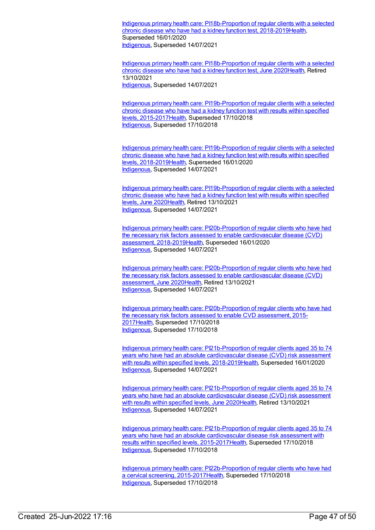Indigenous primary health care: [PI18b-Proportion](https://meteor.aihw.gov.au/content/687998) of regular clients with a selected chronic disease who have had a kidney function test, 2018-201[9Health](https://meteor.aihw.gov.au/RegistrationAuthority/12), Superseded 16/01/2020 [Indigenous](https://meteor.aihw.gov.au/RegistrationAuthority/6), Superseded 14/07/2021

Indigenous primary health care: [PI18b-Proportion](https://meteor.aihw.gov.au/content/717340) of regular clients with a selected chronic disease who have had a kidney function test, June 2020[Health](https://meteor.aihw.gov.au/RegistrationAuthority/12), Retired 13/10/2021 [Indigenous](https://meteor.aihw.gov.au/RegistrationAuthority/6), Superseded 14/07/2021

Indigenous primary health care: [PI19b-Proportion](https://meteor.aihw.gov.au/content/686368) of regular clients with a selected chronic disease who have had a kidney function test with results within specified levels, 2015-201[7Health,](https://meteor.aihw.gov.au/RegistrationAuthority/12) Superseded 17/10/2018 [Indigenous](https://meteor.aihw.gov.au/RegistrationAuthority/6), Superseded 17/10/2018

Indigenous primary health care: [PI19b-Proportion](https://meteor.aihw.gov.au/content/688002) of regular clients with a selected chronic disease who have had a kidney function test with results within specified levels, 2018-201[9Health,](https://meteor.aihw.gov.au/RegistrationAuthority/12) Superseded 16/01/2020 [Indigenous](https://meteor.aihw.gov.au/RegistrationAuthority/6), Superseded 14/07/2021

Indigenous primary health care: [PI19b-Proportion](https://meteor.aihw.gov.au/content/717344) of regular clients with a selected chronic disease who have had a kidney function test with results within specified levels, June 202[0Health](https://meteor.aihw.gov.au/RegistrationAuthority/12), Retired 13/10/2021 [Indigenous](https://meteor.aihw.gov.au/RegistrationAuthority/6), Superseded 14/07/2021

Indigenous primary health care: [PI20b-Proportion](https://meteor.aihw.gov.au/content/688007) of regular clients who have had the necessary risk factors assessed to enable cardiovascular disease (CVD) assessment, 2018-2019[Health,](https://meteor.aihw.gov.au/RegistrationAuthority/12) Superseded 16/01/2020 [Indigenous](https://meteor.aihw.gov.au/RegistrationAuthority/6), Superseded 14/07/2021

Indigenous primary health care: [PI20b-Proportion](https://meteor.aihw.gov.au/content/717350) of regular clients who have had the necessary risk factors assessed to enable cardiovascular disease (CVD) assessment, June 202[0Health](https://meteor.aihw.gov.au/RegistrationAuthority/12), Retired 13/10/2021 [Indigenous](https://meteor.aihw.gov.au/RegistrationAuthority/6), Superseded 14/07/2021

Indigenous primary health care: [PI20b-Proportion](https://meteor.aihw.gov.au/content/686372) of regular clients who have had the necessary risk factors assessed to enable CVD assessment, 2015- 201[7Health](https://meteor.aihw.gov.au/RegistrationAuthority/12), Superseded 17/10/2018 [Indigenous](https://meteor.aihw.gov.au/RegistrationAuthority/6), Superseded 17/10/2018

Indigenous primary health care: [PI21b-Proportion](https://meteor.aihw.gov.au/content/688012) of regular clients aged 35 to 74 years who have had an absolute cardiovascular disease (CVD) risk assessment with results within specified levels, 2018-201[9Health](https://meteor.aihw.gov.au/RegistrationAuthority/12), Superseded 16/01/2020 [Indigenous](https://meteor.aihw.gov.au/RegistrationAuthority/6), Superseded 14/07/2021

Indigenous primary health care: [PI21b-Proportion](https://meteor.aihw.gov.au/content/717354) of regular clients aged 35 to 74 years who have had an absolute cardiovascular disease (CVD) risk assessment with results within specified levels, June 202[0Health](https://meteor.aihw.gov.au/RegistrationAuthority/12), Retired 13/10/2021 [Indigenous](https://meteor.aihw.gov.au/RegistrationAuthority/6), Superseded 14/07/2021

Indigenous primary health care: [PI21b-Proportion](https://meteor.aihw.gov.au/content/686376) of regular clients aged 35 to 74 years who have had an absolute cardiovascular disease risk assessment with results within specified levels, 2015-201[7Health](https://meteor.aihw.gov.au/RegistrationAuthority/12), Superseded 17/10/2018 [Indigenous](https://meteor.aihw.gov.au/RegistrationAuthority/6), Superseded 17/10/2018

Indigenous primary health care: [PI22b-Proportion](https://meteor.aihw.gov.au/content/686306) of regular clients who have had a cervical screening, 2015-2017[Health](https://meteor.aihw.gov.au/RegistrationAuthority/12), Superseded 17/10/2018 [Indigenous](https://meteor.aihw.gov.au/RegistrationAuthority/6), Superseded 17/10/2018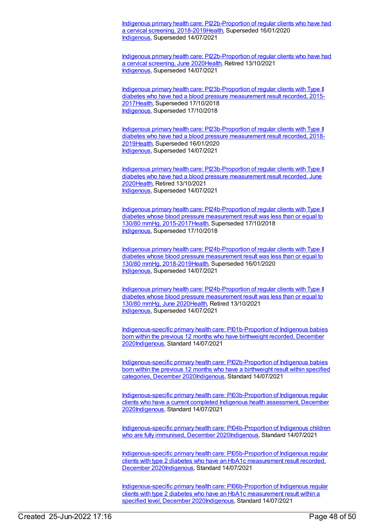Indigenous primary health care: [PI22b-Proportion](https://meteor.aihw.gov.au/content/688016) of regular clients who have had a cervical screening, 2018-2019[Health](https://meteor.aihw.gov.au/RegistrationAuthority/12), Superseded 16/01/2020 [Indigenous](https://meteor.aihw.gov.au/RegistrationAuthority/6), Superseded 14/07/2021

Indigenous primary health care: [PI22b-Proportion](https://meteor.aihw.gov.au/content/717358) of regular clients who have had a cervical screening, June 2020[Health,](https://meteor.aihw.gov.au/RegistrationAuthority/12) Retired 13/10/2021 [Indigenous](https://meteor.aihw.gov.au/RegistrationAuthority/6), Superseded 14/07/2021

Indigenous primary health care: [PI23b-Proportion](https://meteor.aihw.gov.au/content/686381) of regular clients with Type II diabetes who have had a blood pressure measurement result recorded, 2015- 201[7Health](https://meteor.aihw.gov.au/RegistrationAuthority/12), Superseded 17/10/2018 [Indigenous](https://meteor.aihw.gov.au/RegistrationAuthority/6), Superseded 17/10/2018

Indigenous primary health care: [PI23b-Proportion](https://meteor.aihw.gov.au/content/688020) of regular clients with Type II diabetes who have had a blood pressure measurement result recorded, 2018- 201[9Health](https://meteor.aihw.gov.au/RegistrationAuthority/12), Superseded 16/01/2020 [Indigenous](https://meteor.aihw.gov.au/RegistrationAuthority/6), Superseded 14/07/2021

Indigenous primary health care: [PI23b-Proportion](https://meteor.aihw.gov.au/content/717362) of regular clients with Type II diabetes who have had a blood pressure measurement result recorded, June 202[0Health](https://meteor.aihw.gov.au/RegistrationAuthority/12), Retired 13/10/2021 [Indigenous](https://meteor.aihw.gov.au/RegistrationAuthority/6), Superseded 14/07/2021

Indigenous primary health care: [PI24b-Proportion](https://meteor.aihw.gov.au/content/686385) of regular clients with Type II diabetes whose blood pressure measurement result was less than or equal to 130/80 mmHg, 2015-201[7Health,](https://meteor.aihw.gov.au/RegistrationAuthority/12) Superseded 17/10/2018 [Indigenous](https://meteor.aihw.gov.au/RegistrationAuthority/6), Superseded 17/10/2018

Indigenous primary health care: [PI24b-Proportion](https://meteor.aihw.gov.au/content/688024) of regular clients with Type II diabetes whose blood pressure measurement result was less than or equal to 130/80 mmHg, 2018-201[9Health,](https://meteor.aihw.gov.au/RegistrationAuthority/12) Superseded 16/01/2020 [Indigenous](https://meteor.aihw.gov.au/RegistrationAuthority/6), Superseded 14/07/2021

Indigenous primary health care: [PI24b-Proportion](https://meteor.aihw.gov.au/content/717368) of regular clients with Type II diabetes whose blood pressure measurement result was less than or equal to 130/80 mmHg, June 202[0Health](https://meteor.aihw.gov.au/RegistrationAuthority/12), Retired 13/10/2021 [Indigenous](https://meteor.aihw.gov.au/RegistrationAuthority/6), Superseded 14/07/2021

[Indigenous-specific](https://meteor.aihw.gov.au/content/739299) primary health care: PI01b-Proportion of Indigenous babies born within the previous 12 months who have birthweight recorded, December 202[0Indigenous](https://meteor.aihw.gov.au/RegistrationAuthority/6), Standard 14/07/2021

[Indigenous-specific](https://meteor.aihw.gov.au/content/739308) primary health care: PI02b-Proportion of Indigenous babies born within the previous 12 months who have a birthweight result within specified categories, December 202[0Indigenous](https://meteor.aihw.gov.au/RegistrationAuthority/6), Standard 14/07/2021

[Indigenous-specific](https://meteor.aihw.gov.au/content/731804) primary health care: PI03b-Proportion of Indigenous regular clients who have a current completed Indigenous health assessment, December 202[0Indigenous](https://meteor.aihw.gov.au/RegistrationAuthority/6), Standard 14/07/2021

[Indigenous-specific](https://meteor.aihw.gov.au/content/739342) primary health care: PI04b-Proportion of Indigenous children who are fully immunised, December 202[0Indigenous](https://meteor.aihw.gov.au/RegistrationAuthority/6), Standard 14/07/2021

[Indigenous-specific](https://meteor.aihw.gov.au/content/739347) primary health care: PI05b-Proportion of Indigenous regular clients with type 2 diabetes who have an HbA1c measurement result recorded, December 202[0Indigenous,](https://meteor.aihw.gov.au/RegistrationAuthority/6) Standard 14/07/2021

[Indigenous-specific](https://meteor.aihw.gov.au/content/739353) primary health care: PI06b-Proportion of Indigenous regular clients with type 2 diabetes who have an HbA1c measurement result within a specified level, December 202[0Indigenous](https://meteor.aihw.gov.au/RegistrationAuthority/6), Standard 14/07/2021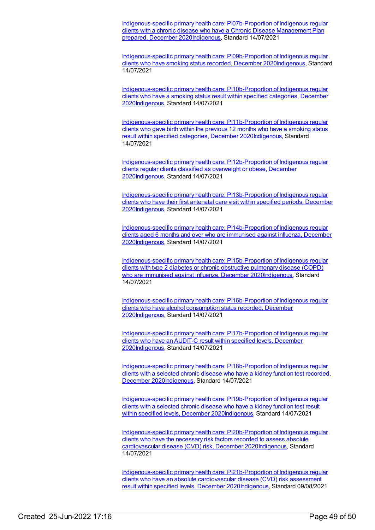[Indigenous-specific](https://meteor.aihw.gov.au/content/731846) primary health care: PI07b-Proportion of Indigenous regular clients with a chronic disease who have a Chronic Disease Management Plan prepared, December 202[0Indigenous](https://meteor.aihw.gov.au/RegistrationAuthority/6), Standard 14/07/2021

[Indigenous-specific](https://meteor.aihw.gov.au/content/739363) primary health care: PI09b-Proportion of Indigenous regular clients who have smoking status recorded, December 202[0Indigenous](https://meteor.aihw.gov.au/RegistrationAuthority/6), Standard 14/07/2021

[Indigenous-specific](https://meteor.aihw.gov.au/content/739372) primary health care: PI10b-Proportion of Indigenous regular clients who have a smoking status result within specified categories, December 202[0Indigenous](https://meteor.aihw.gov.au/RegistrationAuthority/6), Standard 14/07/2021

[Indigenous-specific](https://meteor.aihw.gov.au/content/739380) primary health care: PI11b-Proportion of Indigenous regular clients who gave birth within the previous 12 months who have a smoking status result within specified categories, December 2020[Indigenous](https://meteor.aihw.gov.au/RegistrationAuthority/6), Standard 14/07/2021

[Indigenous-specific](https://meteor.aihw.gov.au/content/739386) primary health care: PI12b-Proportion of Indigenous regular clients regular clients classified as overweight or obese, December 202[0Indigenous](https://meteor.aihw.gov.au/RegistrationAuthority/6), Standard 14/07/2021

[Indigenous-specific](https://meteor.aihw.gov.au/content/739391) primary health care: PI13b-Proportion of Indigenous regular clients who have their first antenatal care visit within specified periods, December 202[0Indigenous](https://meteor.aihw.gov.au/RegistrationAuthority/6), Standard 14/07/2021

[Indigenous-specific](https://meteor.aihw.gov.au/content/731856) primary health care: PI14b-Proportion of Indigenous regular clients aged 6 months and over who are immunised against influenza, December 202[0Indigenous](https://meteor.aihw.gov.au/RegistrationAuthority/6), Standard 14/07/2021

[Indigenous-specific](https://meteor.aihw.gov.au/content/739399) primary health care: PI15b-Proportion of Indigenous regular clients with type 2 diabetes or chronic obstructive pulmonary disease (COPD) who are immunised against influenza, December 2020 Indigenous, Standard 14/07/2021

[Indigenous-specific](https://meteor.aihw.gov.au/content/739405) primary health care: PI16b-Proportion of Indigenous regular clients who have alcohol consumption status recorded, December 202[0Indigenous](https://meteor.aihw.gov.au/RegistrationAuthority/6), Standard 14/07/2021

[Indigenous-specific](https://meteor.aihw.gov.au/content/739426) primary health care: PI17b-Proportion of Indigenous regular clients who have an AUDIT-C result within specified levels, December 202[0Indigenous](https://meteor.aihw.gov.au/RegistrationAuthority/6), Standard 14/07/2021

[Indigenous-specific](https://meteor.aihw.gov.au/content/739438) primary health care: PI18b-Proportion of Indigenous regular clients with a selected chronic disease who have a kidney function test recorded, December 202[0Indigenous,](https://meteor.aihw.gov.au/RegistrationAuthority/6) Standard 14/07/2021

[Indigenous-specific](https://meteor.aihw.gov.au/content/739454) primary health care: PI19b-Proportion of Indigenous regular clients with a selected chronic disease who have a kidney function test result within specified levels, December 202[0Indigenous](https://meteor.aihw.gov.au/RegistrationAuthority/6), Standard 14/07/2021

[Indigenous-specific](https://meteor.aihw.gov.au/content/739465) primary health care: PI20b-Proportion of Indigenous regular clients who have the necessary risk factors recorded to assess absolute cardiovascular disease (CVD) risk, December 202[0Indigenous](https://meteor.aihw.gov.au/RegistrationAuthority/6), Standard 14/07/2021

[Indigenous-specific](https://meteor.aihw.gov.au/content/739470) primary health care: PI21b-Proportion of Indigenous regular clients who have an absolute cardiovascular disease (CVD) risk assessment result within specified levels, December 2020[Indigenous](https://meteor.aihw.gov.au/RegistrationAuthority/6), Standard 09/08/2021